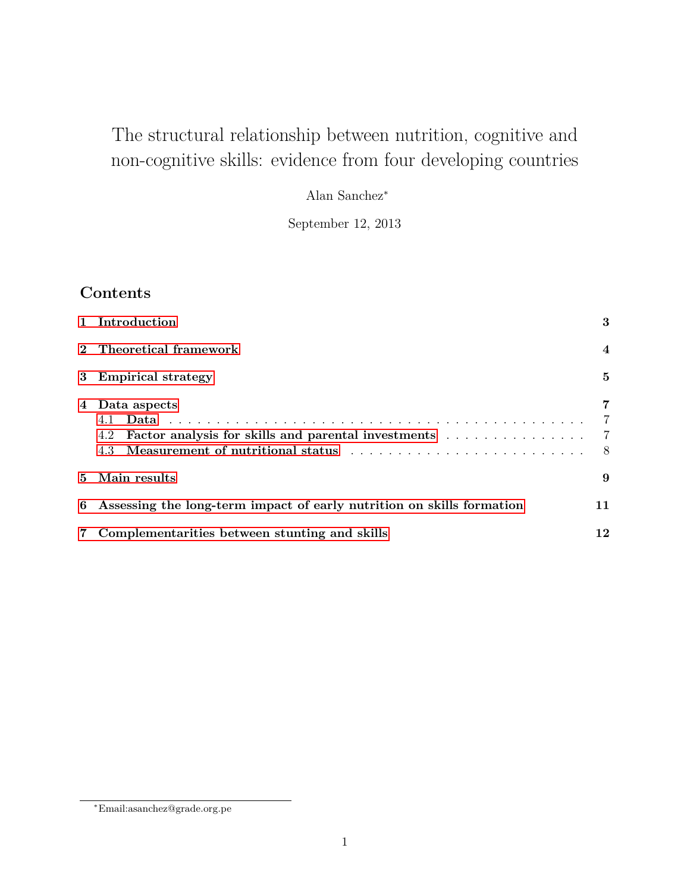# The structural relationship between nutrition, cognitive and non-cognitive skills: evidence from four developing countries

Alan Sanchez<sup>∗</sup>

September 12, 2013

# **Contents**

| 1 Introduction                                                                                                                                                                                    | 3                                            |
|---------------------------------------------------------------------------------------------------------------------------------------------------------------------------------------------------|----------------------------------------------|
| 2 Theoretical framework                                                                                                                                                                           | $\overline{4}$                               |
| 3 Empirical strategy                                                                                                                                                                              | 5                                            |
| 4 Data aspects<br>4.2 Factor analysis for skills and parental investments<br>Measurement of nutritional status enterpreterment of nutritional status enterpreterment of nutritional status<br>4.3 | 7<br>$\overline{7}$<br>$\overline{7}$<br>- 8 |
| 5 Main results                                                                                                                                                                                    | 9                                            |
| 6 Assessing the long-term impact of early nutrition on skills formation                                                                                                                           | 11                                           |
| Complementarities between stunting and skills                                                                                                                                                     | 12                                           |

<sup>∗</sup>Email:asanchez@grade.org.pe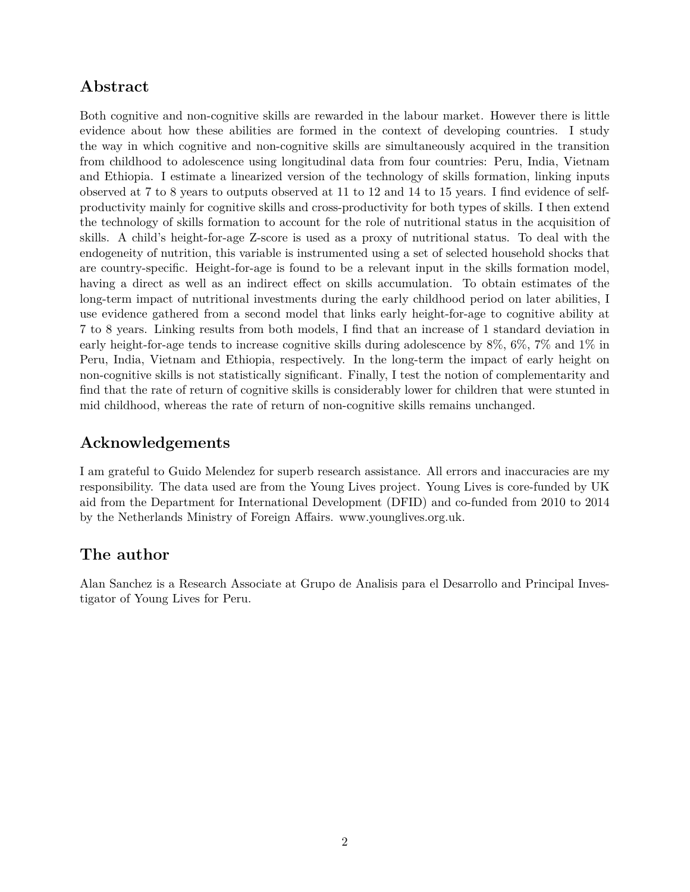## **Abstract**

Both cognitive and non-cognitive skills are rewarded in the labour market. However there is little evidence about how these abilities are formed in the context of developing countries. I study the way in which cognitive and non-cognitive skills are simultaneously acquired in the transition from childhood to adolescence using longitudinal data from four countries: Peru, India, Vietnam and Ethiopia. I estimate a linearized version of the technology of skills formation, linking inputs observed at 7 to 8 years to outputs observed at 11 to 12 and 14 to 15 years. I find evidence of selfproductivity mainly for cognitive skills and cross-productivity for both types of skills. I then extend the technology of skills formation to account for the role of nutritional status in the acquisition of skills. A child's height-for-age Z-score is used as a proxy of nutritional status. To deal with the endogeneity of nutrition, this variable is instrumented using a set of selected household shocks that are country-specific. Height-for-age is found to be a relevant input in the skills formation model, having a direct as well as an indirect effect on skills accumulation. To obtain estimates of the long-term impact of nutritional investments during the early childhood period on later abilities, I use evidence gathered from a second model that links early height-for-age to cognitive ability at 7 to 8 years. Linking results from both models, I find that an increase of 1 standard deviation in early height-for-age tends to increase cognitive skills during adolescence by 8%, 6%, 7% and 1% in Peru, India, Vietnam and Ethiopia, respectively. In the long-term the impact of early height on non-cognitive skills is not statistically significant. Finally, I test the notion of complementarity and find that the rate of return of cognitive skills is considerably lower for children that were stunted in mid childhood, whereas the rate of return of non-cognitive skills remains unchanged.

## **Acknowledgements**

I am grateful to Guido Melendez for superb research assistance. All errors and inaccuracies are my responsibility. The data used are from the Young Lives project. Young Lives is core-funded by UK aid from the Department for International Development (DFID) and co-funded from 2010 to 2014 by the Netherlands Ministry of Foreign Affairs. www.younglives.org.uk.

# **The author**

Alan Sanchez is a Research Associate at Grupo de Analisis para el Desarrollo and Principal Investigator of Young Lives for Peru.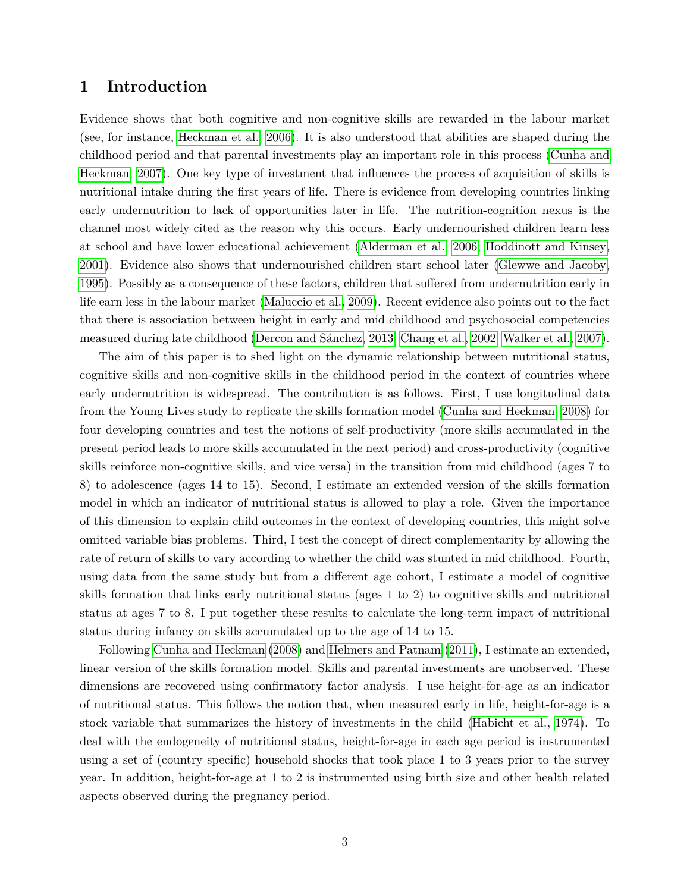#### <span id="page-2-0"></span>**1 Introduction**

Evidence shows that both cognitive and non-cognitive skills are rewarded in the labour market (see, for instance, [Heckman et al., 2006\)](#page-12-0). It is also understood that abilities are shaped during the childhood period and that parental investments play an important role in this process [\(Cunha and](#page-11-1) [Heckman, 2007\)](#page-11-1). One key type of investment that influences the process of acquisition of skills is nutritional intake during the first years of life. There is evidence from developing countries linking early undernutrition to lack of opportunities later in life. The nutrition-cognition nexus is the channel most widely cited as the reason why this occurs. Early undernourished children learn less at school and have lower educational achievement [\(Alderman et al., 2006;](#page-11-2) [Hoddinott and Kinsey,](#page-12-1) [2001\)](#page-12-1). Evidence also shows that undernourished children start school later [\(Glewwe and Jacoby,](#page-11-3) [1995\)](#page-11-3). Possibly as a consequence of these factors, children that suffered from undernutrition early in life earn less in the labour market [\(Maluccio et al., 2009\)](#page-12-2). Recent evidence also points out to the fact that there is association between height in early and mid childhood and psychosocial competencies measured during late childhood [\(Dercon and Sánchez, 2013;](#page-11-4) [Chang et al., 2002;](#page-11-5) [Walker et al., 2007\)](#page-12-3).

The aim of this paper is to shed light on the dynamic relationship between nutritional status, cognitive skills and non-cognitive skills in the childhood period in the context of countries where early undernutrition is widespread. The contribution is as follows. First, I use longitudinal data from the Young Lives study to replicate the skills formation model [\(Cunha and Heckman, 2008\)](#page-11-6) for four developing countries and test the notions of self-productivity (more skills accumulated in the present period leads to more skills accumulated in the next period) and cross-productivity (cognitive skills reinforce non-cognitive skills, and vice versa) in the transition from mid childhood (ages 7 to 8) to adolescence (ages 14 to 15). Second, I estimate an extended version of the skills formation model in which an indicator of nutritional status is allowed to play a role. Given the importance of this dimension to explain child outcomes in the context of developing countries, this might solve omitted variable bias problems. Third, I test the concept of direct complementarity by allowing the rate of return of skills to vary according to whether the child was stunted in mid childhood. Fourth, using data from the same study but from a different age cohort, I estimate a model of cognitive skills formation that links early nutritional status (ages 1 to 2) to cognitive skills and nutritional status at ages 7 to 8. I put together these results to calculate the long-term impact of nutritional status during infancy on skills accumulated up to the age of 14 to 15.

Following [Cunha and Heckman](#page-11-6) [\(2008\)](#page-11-6) and [Helmers and Patnam](#page-12-4) [\(2011\)](#page-12-4), I estimate an extended, linear version of the skills formation model. Skills and parental investments are unobserved. These dimensions are recovered using confirmatory factor analysis. I use height-for-age as an indicator of nutritional status. This follows the notion that, when measured early in life, height-for-age is a stock variable that summarizes the history of investments in the child [\(Habicht et al., 1974\)](#page-12-5). To deal with the endogeneity of nutritional status, height-for-age in each age period is instrumented using a set of (country specific) household shocks that took place 1 to 3 years prior to the survey year. In addition, height-for-age at 1 to 2 is instrumented using birth size and other health related aspects observed during the pregnancy period.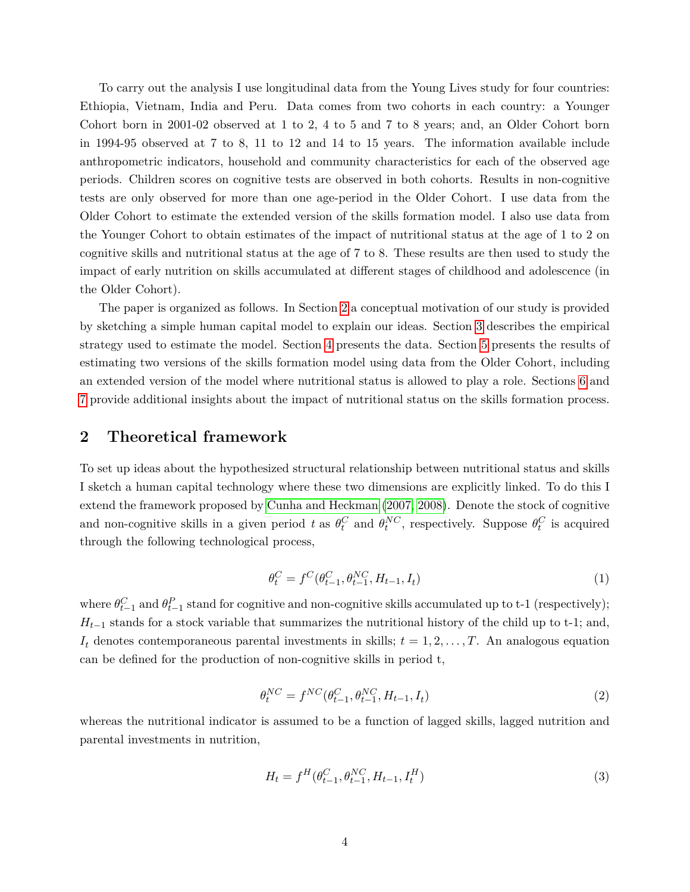To carry out the analysis I use longitudinal data from the Young Lives study for four countries: Ethiopia, Vietnam, India and Peru. Data comes from two cohorts in each country: a Younger Cohort born in 2001-02 observed at 1 to 2, 4 to 5 and 7 to 8 years; and, an Older Cohort born in 1994-95 observed at 7 to 8, 11 to 12 and 14 to 15 years. The information available include anthropometric indicators, household and community characteristics for each of the observed age periods. Children scores on cognitive tests are observed in both cohorts. Results in non-cognitive tests are only observed for more than one age-period in the Older Cohort. I use data from the Older Cohort to estimate the extended version of the skills formation model. I also use data from the Younger Cohort to obtain estimates of the impact of nutritional status at the age of 1 to 2 on cognitive skills and nutritional status at the age of 7 to 8. These results are then used to study the impact of early nutrition on skills accumulated at different stages of childhood and adolescence (in the Older Cohort).

The paper is organized as follows. In Section [2](#page-3-0) a conceptual motivation of our study is provided by sketching a simple human capital model to explain our ideas. Section [3](#page-4-0) describes the empirical strategy used to estimate the model. Section [4](#page-6-0) presents the data. Section [5](#page-8-0) presents the results of estimating two versions of the skills formation model using data from the Older Cohort, including an extended version of the model where nutritional status is allowed to play a role. Sections [6](#page-10-0) and [7](#page-11-0) provide additional insights about the impact of nutritional status on the skills formation process.

#### <span id="page-3-0"></span>**2 Theoretical framework**

To set up ideas about the hypothesized structural relationship between nutritional status and skills I sketch a human capital technology where these two dimensions are explicitly linked. To do this I extend the framework proposed by [Cunha and Heckman](#page-11-1) [\(2007,](#page-11-1) [2008\)](#page-11-6). Denote the stock of cognitive and non-cognitive skills in a given period t as  $\theta_t^C$  and  $\theta_t^{NC}$ , respectively. Suppose  $\theta_t^C$  is acquired through the following technological process,

$$
\theta_t^C = f^C(\theta_{t-1}^C, \theta_{t-1}^{NC}, H_{t-1}, I_t)
$$
\n(1)

<span id="page-3-1"></span>where  $\theta_{t-1}^C$  and  $\theta_{t-1}^P$  stand for cognitive and non-cognitive skills accumulated up to t-1 (respectively);  $H_{t-1}$  stands for a stock variable that summarizes the nutritional history of the child up to t-1; and,  $I_t$  denotes contemporaneous parental investments in skills;  $t = 1, 2, \ldots, T$ . An analogous equation can be defined for the production of non-cognitive skills in period t,

$$
\theta_t^{NC} = f^{NC}(\theta_{t-1}^C, \theta_{t-1}^{NC}, H_{t-1}, I_t)
$$
\n(2)

<span id="page-3-3"></span><span id="page-3-2"></span>whereas the nutritional indicator is assumed to be a function of lagged skills, lagged nutrition and parental investments in nutrition,

$$
H_t = f^H(\theta_{t-1}^C, \theta_{t-1}^{NC}, H_{t-1}, I_t^H)
$$
\n(3)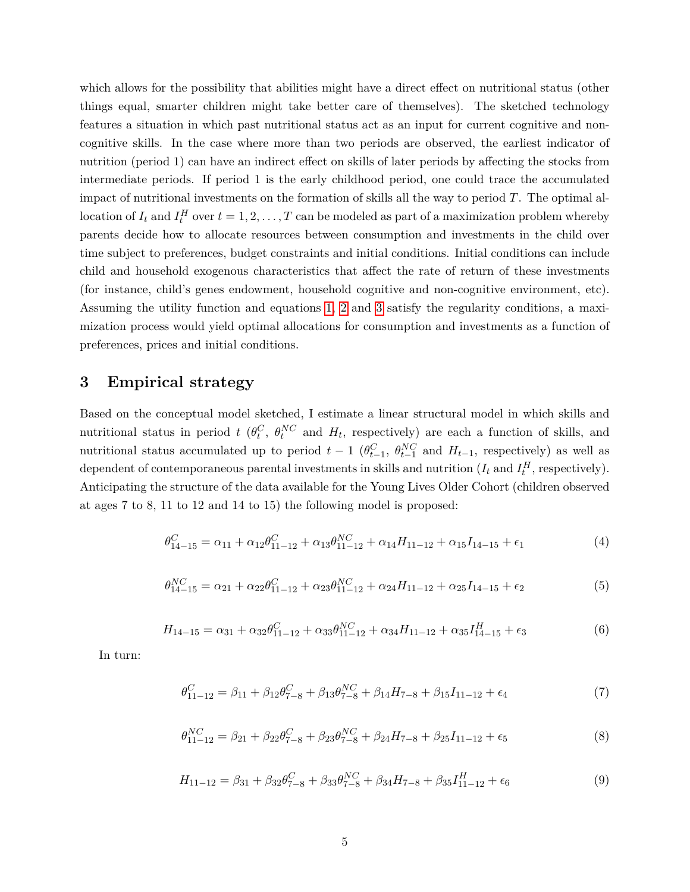which allows for the possibility that abilities might have a direct effect on nutritional status (other things equal, smarter children might take better care of themselves). The sketched technology features a situation in which past nutritional status act as an input for current cognitive and noncognitive skills. In the case where more than two periods are observed, the earliest indicator of nutrition (period 1) can have an indirect effect on skills of later periods by affecting the stocks from intermediate periods. If period 1 is the early childhood period, one could trace the accumulated impact of nutritional investments on the formation of skills all the way to period *T*. The optimal allocation of  $I_t$  and  $I_t^H$  over  $t = 1, 2, ..., T$  can be modeled as part of a maximization problem whereby parents decide how to allocate resources between consumption and investments in the child over time subject to preferences, budget constraints and initial conditions. Initial conditions can include child and household exogenous characteristics that affect the rate of return of these investments (for instance, child's genes endowment, household cognitive and non-cognitive environment, etc). Assuming the utility function and equations [1,](#page-3-1) [2](#page-3-2) and [3](#page-3-3) satisfy the regularity conditions, a maximization process would yield optimal allocations for consumption and investments as a function of preferences, prices and initial conditions.

#### <span id="page-4-0"></span>**3 Empirical strategy**

Based on the conceptual model sketched, I estimate a linear structural model in which skills and nutritional status in period *t* ( $\theta_t^C$ ,  $\theta_t^{NC}$  and  $H_t$ , respectively) are each a function of skills, and nutritional status accumulated up to period  $t-1$  ( $\theta_{t-1}^C$ ,  $\theta_{t-1}^{NC}$  and  $H_{t-1}$ , respectively) as well as dependent of contemporaneous parental investments in skills and nutrition  $(I_t \text{ and } I_t^H$ , respectively). Anticipating the structure of the data available for the Young Lives Older Cohort (children observed at ages 7 to 8, 11 to 12 and 14 to 15) the following model is proposed:

<span id="page-4-1"></span>
$$
\theta_{14-15}^C = \alpha_{11} + \alpha_{12}\theta_{11-12}^C + \alpha_{13}\theta_{11-12}^{NC} + \alpha_{14}H_{11-12} + \alpha_{15}I_{14-15} + \epsilon_1
$$
\n(4)

$$
\theta_{14-15}^{NC} = \alpha_{21} + \alpha_{22}\theta_{11-12}^{C} + \alpha_{23}\theta_{11-12}^{NC} + \alpha_{24}H_{11-12} + \alpha_{25}I_{14-15} + \epsilon_2
$$
\n(5)

$$
H_{14-15} = \alpha_{31} + \alpha_{32}\theta_{11-12}^C + \alpha_{33}\theta_{11-12}^{NC} + \alpha_{34}H_{11-12} + \alpha_{35}I_{14-15}^H + \epsilon_3
$$
(6)

In turn:

$$
\theta_{11-12}^C = \beta_{11} + \beta_{12}\theta_{7-8}^C + \beta_{13}\theta_{7-8}^{NC} + \beta_{14}H_{7-8} + \beta_{15}I_{11-12} + \epsilon_4
$$
\n(7)

$$
\theta_{11-12}^{NC} = \beta_{21} + \beta_{22}\theta_{7-8}^C + \beta_{23}\theta_{7-8}^{NC} + \beta_{24}H_{7-8} + \beta_{25}I_{11-12} + \epsilon_5
$$
\n(8)

<span id="page-4-2"></span>
$$
H_{11-12} = \beta_{31} + \beta_{32}\theta_{7-8}^C + \beta_{33}\theta_{7-8}^{NC} + \beta_{34}H_{7-8} + \beta_{35}I_{11-12}^H + \epsilon_6
$$
\n
$$
\tag{9}
$$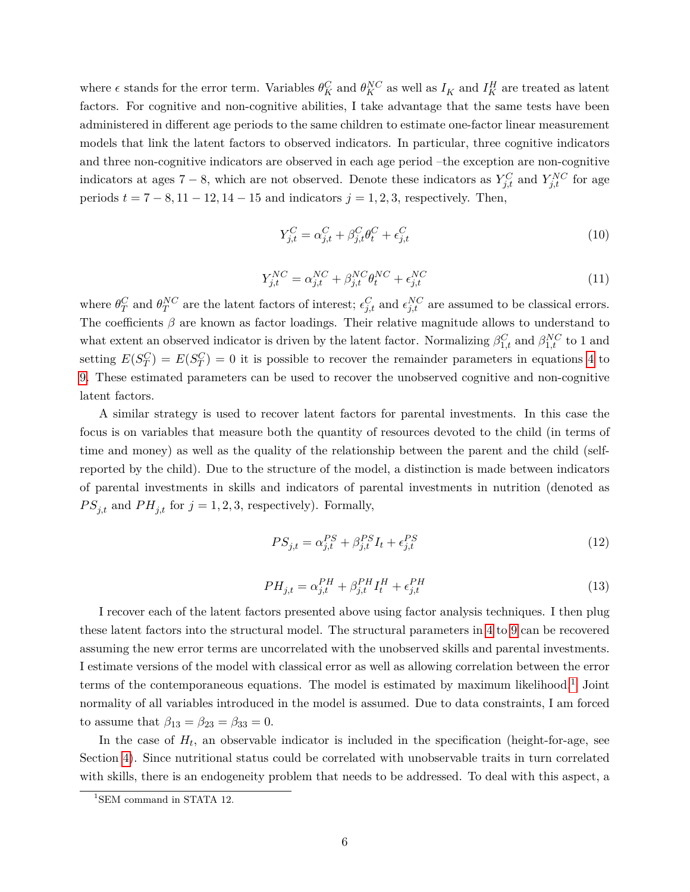where  $\epsilon$  stands for the error term. Variables  $\theta_K^C$  and  $\theta_K^{NC}$  as well as  $I_K$  and  $I_K^H$  are treated as latent factors. For cognitive and non-cognitive abilities, I take advantage that the same tests have been administered in different age periods to the same children to estimate one-factor linear measurement models that link the latent factors to observed indicators. In particular, three cognitive indicators and three non-cognitive indicators are observed in each age period –the exception are non-cognitive indicators at ages  $7 - 8$ , which are not observed. Denote these indicators as  $Y_{j,t}^C$  and  $Y_{j,t}^{NC}$  for age periods  $t = 7 - 8$ ,  $11 - 12$ ,  $14 - 15$  and indicators  $j = 1, 2, 3$ , respectively. Then,

$$
Y_{j,t}^C = \alpha_{j,t}^C + \beta_{j,t}^C \theta_t^C + \epsilon_{j,t}^C
$$
\n<sup>(10)</sup>

$$
Y_{j,t}^{NC} = \alpha_{j,t}^{NC} + \beta_{j,t}^{NC} \theta_t^{NC} + \epsilon_{j,t}^{NC}
$$
\n(11)

where  $\theta_T^C$  and  $\theta_T^{NC}$  are the latent factors of interest;  $\epsilon_{j,t}^C$  and  $\epsilon_{j,t}^{NC}$  are assumed to be classical errors. The coefficients  $\beta$  are known as factor loadings. Their relative magnitude allows to understand to what extent an observed indicator is driven by the latent factor. Normalizing  $\beta_{1,t}^C$  and  $\beta_{1,t}^{NC}$  to 1 and setting  $E(S_T^C) = E(S_T^C) = 0$  it is possible to recover the remainder parameters in equations [4](#page-4-1) to [9.](#page-4-2) These estimated parameters can be used to recover the unobserved cognitive and non-cognitive latent factors.

A similar strategy is used to recover latent factors for parental investments. In this case the focus is on variables that measure both the quantity of resources devoted to the child (in terms of time and money) as well as the quality of the relationship between the parent and the child (selfreported by the child). Due to the structure of the model, a distinction is made between indicators of parental investments in skills and indicators of parental investments in nutrition (denoted as  $PS_{j,t}$  and  $PH_{j,t}$  for  $j = 1, 2, 3$ , respectively). Formally,

$$
PS_{j,t} = \alpha_{j,t}^{PS} + \beta_{j,t}^{PS} I_t + \epsilon_{j,t}^{PS}
$$
\n
$$
\tag{12}
$$

$$
PH_{j,t} = \alpha_{j,t}^{PH} + \beta_{j,t}^{PH} I_t^H + \epsilon_{j,t}^{PH}
$$
\n
$$
\tag{13}
$$

I recover each of the latent factors presented above using factor analysis techniques. I then plug these latent factors into the structural model. The structural parameters in [4](#page-4-1) to [9](#page-4-2) can be recovered assuming the new error terms are uncorrelated with the unobserved skills and parental investments. I estimate versions of the model with classical error as well as allowing correlation between the error terms of the contemporaneous equations. The model is estimated by maximum likelihood.<sup>[1](#page-5-0)</sup> Joint normality of all variables introduced in the model is assumed. Due to data constraints, I am forced to assume that  $\beta_{13} = \beta_{23} = \beta_{33} = 0$ .

In the case of  $H_t$ , an observable indicator is included in the specification (height-for-age, see Section [4\)](#page-6-0). Since nutritional status could be correlated with unobservable traits in turn correlated with skills, there is an endogeneity problem that needs to be addressed. To deal with this aspect, a

<span id="page-5-0"></span><sup>&</sup>lt;sup>1</sup>SEM command in STATA 12.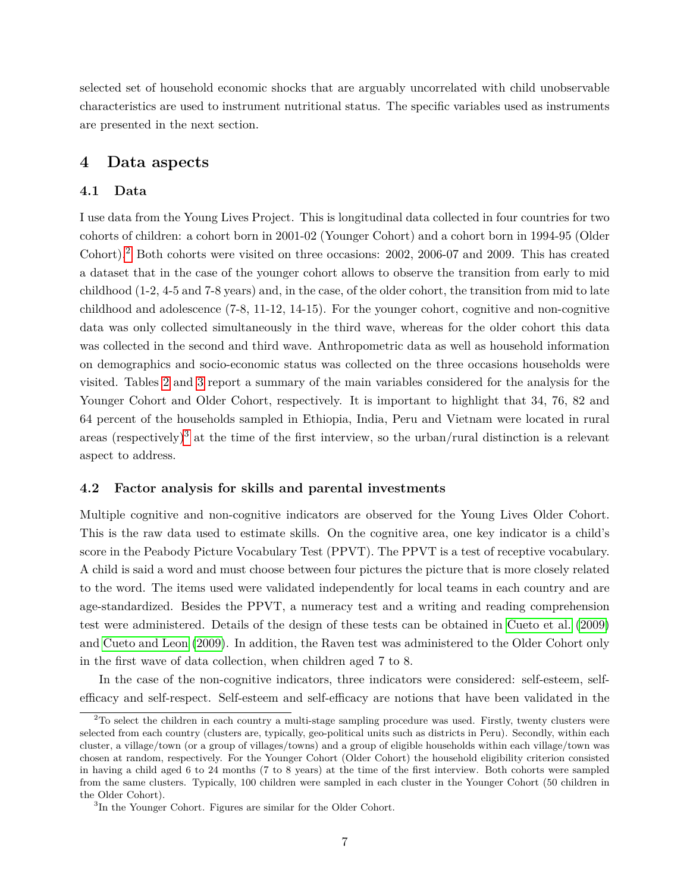selected set of household economic shocks that are arguably uncorrelated with child unobservable characteristics are used to instrument nutritional status. The specific variables used as instruments are presented in the next section.

#### <span id="page-6-0"></span>**4 Data aspects**

#### <span id="page-6-1"></span>**4.1 Data**

I use data from the Young Lives Project. This is longitudinal data collected in four countries for two cohorts of children: a cohort born in 2001-02 (Younger Cohort) and a cohort born in 1994-95 (Older Cohort).[2](#page-6-3) Both cohorts were visited on three occasions: 2002, 2006-07 and 2009. This has created a dataset that in the case of the younger cohort allows to observe the transition from early to mid childhood (1-2, 4-5 and 7-8 years) and, in the case, of the older cohort, the transition from mid to late childhood and adolescence (7-8, 11-12, 14-15). For the younger cohort, cognitive and non-cognitive data was only collected simultaneously in the third wave, whereas for the older cohort this data was collected in the second and third wave. Anthropometric data as well as household information on demographics and socio-economic status was collected on the three occasions households were visited. Tables [2](#page-14-0) and [3](#page-15-0) report a summary of the main variables considered for the analysis for the Younger Cohort and Older Cohort, respectively. It is important to highlight that 34, 76, 82 and 64 percent of the households sampled in Ethiopia, India, Peru and Vietnam were located in rural areas (respectively)<sup>[3](#page-6-4)</sup> at the time of the first interview, so the urban/rural distinction is a relevant aspect to address.

#### <span id="page-6-2"></span>**4.2 Factor analysis for skills and parental investments**

Multiple cognitive and non-cognitive indicators are observed for the Young Lives Older Cohort. This is the raw data used to estimate skills. On the cognitive area, one key indicator is a child's score in the Peabody Picture Vocabulary Test (PPVT). The PPVT is a test of receptive vocabulary. A child is said a word and must choose between four pictures the picture that is more closely related to the word. The items used were validated independently for local teams in each country and are age-standardized. Besides the PPVT, a numeracy test and a writing and reading comprehension test were administered. Details of the design of these tests can be obtained in [Cueto et al.](#page-11-7) [\(2009\)](#page-11-7) and [Cueto and Leon](#page-11-8) [\(2009\)](#page-11-8). In addition, the Raven test was administered to the Older Cohort only in the first wave of data collection, when children aged 7 to 8.

In the case of the non-cognitive indicators, three indicators were considered: self-esteem, selfefficacy and self-respect. Self-esteem and self-efficacy are notions that have been validated in the

<span id="page-6-3"></span> $2$ To select the children in each country a multi-stage sampling procedure was used. Firstly, twenty clusters were selected from each country (clusters are, typically, geo-political units such as districts in Peru). Secondly, within each cluster, a village/town (or a group of villages/towns) and a group of eligible households within each village/town was chosen at random, respectively. For the Younger Cohort (Older Cohort) the household eligibility criterion consisted in having a child aged 6 to 24 months (7 to 8 years) at the time of the first interview. Both cohorts were sampled from the same clusters. Typically, 100 children were sampled in each cluster in the Younger Cohort (50 children in the Older Cohort).

<span id="page-6-4"></span><sup>&</sup>lt;sup>3</sup>In the Younger Cohort. Figures are similar for the Older Cohort.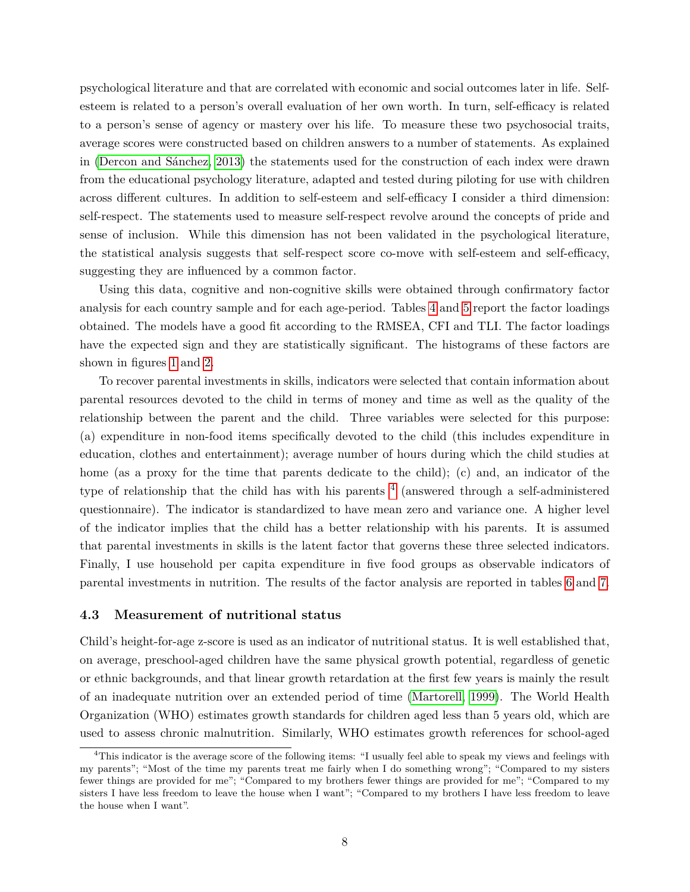psychological literature and that are correlated with economic and social outcomes later in life. Selfesteem is related to a person's overall evaluation of her own worth. In turn, self-efficacy is related to a person's sense of agency or mastery over his life. To measure these two psychosocial traits, average scores were constructed based on children answers to a number of statements. As explained in [\(Dercon and Sánchez, 2013\)](#page-11-4) the statements used for the construction of each index were drawn from the educational psychology literature, adapted and tested during piloting for use with children across different cultures. In addition to self-esteem and self-efficacy I consider a third dimension: self-respect. The statements used to measure self-respect revolve around the concepts of pride and sense of inclusion. While this dimension has not been validated in the psychological literature, the statistical analysis suggests that self-respect score co-move with self-esteem and self-efficacy, suggesting they are influenced by a common factor.

Using this data, cognitive and non-cognitive skills were obtained through confirmatory factor analysis for each country sample and for each age-period. Tables [4](#page-16-0) and [5](#page-17-0) report the factor loadings obtained. The models have a good fit according to the RMSEA, CFI and TLI. The factor loadings have the expected sign and they are statistically significant. The histograms of these factors are shown in figures [1](#page-24-0) and [2.](#page-25-0)

To recover parental investments in skills, indicators were selected that contain information about parental resources devoted to the child in terms of money and time as well as the quality of the relationship between the parent and the child. Three variables were selected for this purpose: (a) expenditure in non-food items specifically devoted to the child (this includes expenditure in education, clothes and entertainment); average number of hours during which the child studies at home (as a proxy for the time that parents dedicate to the child); (c) and, an indicator of the type of relationship that the child has with his parents  $4$  (answered through a self-administered questionnaire). The indicator is standardized to have mean zero and variance one. A higher level of the indicator implies that the child has a better relationship with his parents. It is assumed that parental investments in skills is the latent factor that governs these three selected indicators. Finally, I use household per capita expenditure in five food groups as observable indicators of parental investments in nutrition. The results of the factor analysis are reported in tables [6](#page-18-0) and [7.](#page-19-0)

#### <span id="page-7-0"></span>**4.3 Measurement of nutritional status**

Child's height-for-age z-score is used as an indicator of nutritional status. It is well established that, on average, preschool-aged children have the same physical growth potential, regardless of genetic or ethnic backgrounds, and that linear growth retardation at the first few years is mainly the result of an inadequate nutrition over an extended period of time [\(Martorell, 1999\)](#page-12-6). The World Health Organization (WHO) estimates growth standards for children aged less than 5 years old, which are used to assess chronic malnutrition. Similarly, WHO estimates growth references for school-aged

<span id="page-7-1"></span><sup>&</sup>lt;sup>4</sup>This indicator is the average score of the following items: "I usually feel able to speak my views and feelings with my parents"; "Most of the time my parents treat me fairly when I do something wrong"; "Compared to my sisters fewer things are provided for me"; "Compared to my brothers fewer things are provided for me"; "Compared to my sisters I have less freedom to leave the house when I want"; "Compared to my brothers I have less freedom to leave the house when I want".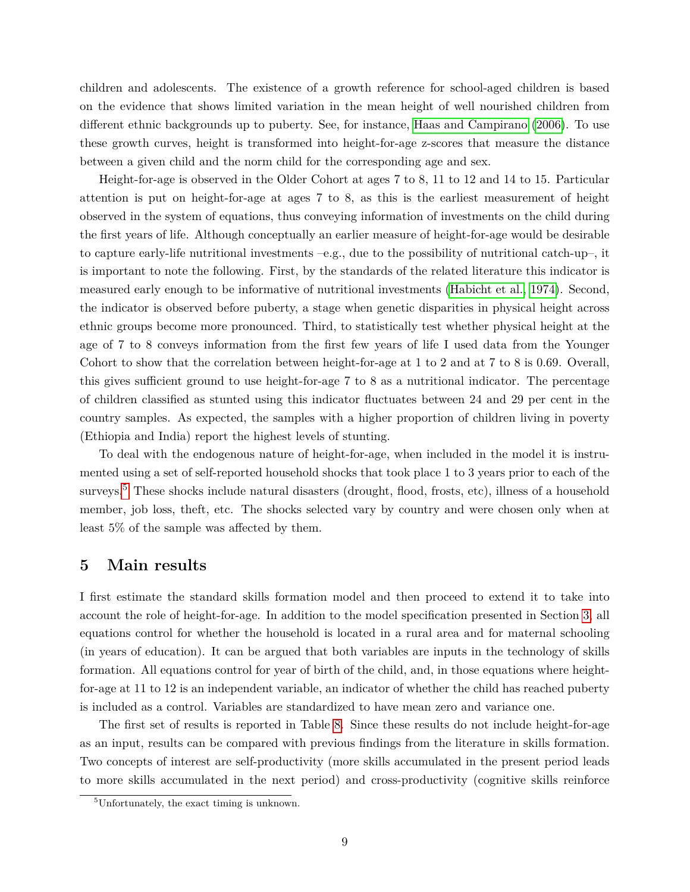children and adolescents. The existence of a growth reference for school-aged children is based on the evidence that shows limited variation in the mean height of well nourished children from different ethnic backgrounds up to puberty. See, for instance, [Haas and Campirano](#page-12-7) [\(2006\)](#page-12-7). To use these growth curves, height is transformed into height-for-age z-scores that measure the distance between a given child and the norm child for the corresponding age and sex.

Height-for-age is observed in the Older Cohort at ages 7 to 8, 11 to 12 and 14 to 15. Particular attention is put on height-for-age at ages 7 to 8, as this is the earliest measurement of height observed in the system of equations, thus conveying information of investments on the child during the first years of life. Although conceptually an earlier measure of height-for-age would be desirable to capture early-life nutritional investments –e.g., due to the possibility of nutritional catch-up–, it is important to note the following. First, by the standards of the related literature this indicator is measured early enough to be informative of nutritional investments [\(Habicht et al., 1974\)](#page-12-5). Second, the indicator is observed before puberty, a stage when genetic disparities in physical height across ethnic groups become more pronounced. Third, to statistically test whether physical height at the age of 7 to 8 conveys information from the first few years of life I used data from the Younger Cohort to show that the correlation between height-for-age at 1 to 2 and at 7 to 8 is 0.69. Overall, this gives sufficient ground to use height-for-age 7 to 8 as a nutritional indicator. The percentage of children classified as stunted using this indicator fluctuates between 24 and 29 per cent in the country samples. As expected, the samples with a higher proportion of children living in poverty (Ethiopia and India) report the highest levels of stunting.

To deal with the endogenous nature of height-for-age, when included in the model it is instrumented using a set of self-reported household shocks that took place 1 to 3 years prior to each of the surveys.<sup>[5](#page-8-1)</sup> These shocks include natural disasters (drought, flood, frosts, etc), illness of a household member, job loss, theft, etc. The shocks selected vary by country and were chosen only when at least 5% of the sample was affected by them.

#### <span id="page-8-0"></span>**5 Main results**

I first estimate the standard skills formation model and then proceed to extend it to take into account the role of height-for-age. In addition to the model specification presented in Section [3,](#page-4-0) all equations control for whether the household is located in a rural area and for maternal schooling (in years of education). It can be argued that both variables are inputs in the technology of skills formation. All equations control for year of birth of the child, and, in those equations where heightfor-age at 11 to 12 is an independent variable, an indicator of whether the child has reached puberty is included as a control. Variables are standardized to have mean zero and variance one.

The first set of results is reported in Table [8.](#page-20-0) Since these results do not include height-for-age as an input, results can be compared with previous findings from the literature in skills formation. Two concepts of interest are self-productivity (more skills accumulated in the present period leads to more skills accumulated in the next period) and cross-productivity (cognitive skills reinforce

<span id="page-8-1"></span><sup>5</sup>Unfortunately, the exact timing is unknown.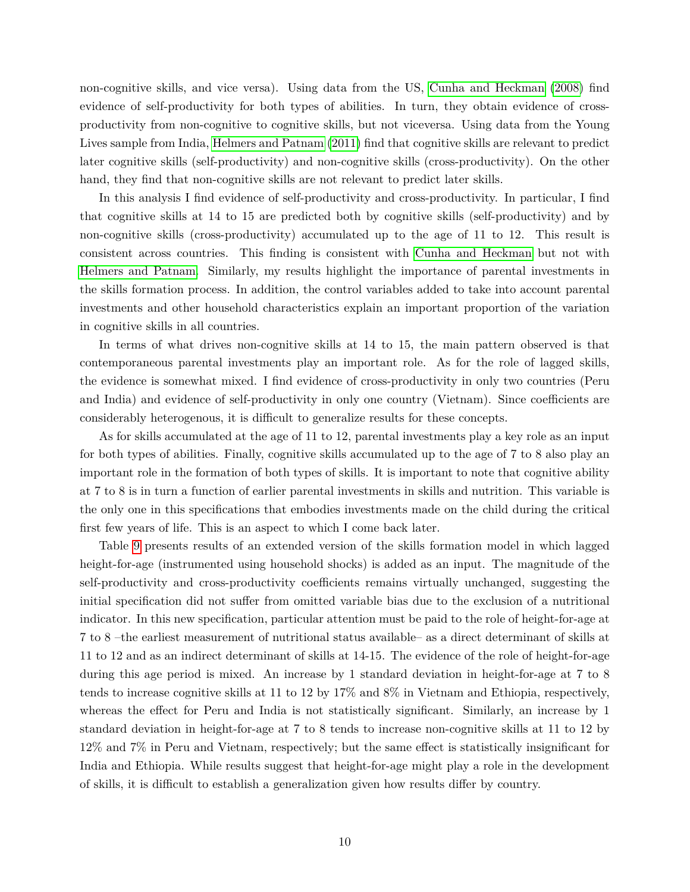non-cognitive skills, and vice versa). Using data from the US, [Cunha and Heckman](#page-11-6) [\(2008\)](#page-11-6) find evidence of self-productivity for both types of abilities. In turn, they obtain evidence of crossproductivity from non-cognitive to cognitive skills, but not viceversa. Using data from the Young Lives sample from India, [Helmers and Patnam](#page-12-4) [\(2011\)](#page-12-4) find that cognitive skills are relevant to predict later cognitive skills (self-productivity) and non-cognitive skills (cross-productivity). On the other hand, they find that non-cognitive skills are not relevant to predict later skills.

In this analysis I find evidence of self-productivity and cross-productivity. In particular, I find that cognitive skills at 14 to 15 are predicted both by cognitive skills (self-productivity) and by non-cognitive skills (cross-productivity) accumulated up to the age of 11 to 12. This result is consistent across countries. This finding is consistent with [Cunha and Heckman](#page-11-6) but not with [Helmers and Patnam.](#page-12-4) Similarly, my results highlight the importance of parental investments in the skills formation process. In addition, the control variables added to take into account parental investments and other household characteristics explain an important proportion of the variation in cognitive skills in all countries.

In terms of what drives non-cognitive skills at 14 to 15, the main pattern observed is that contemporaneous parental investments play an important role. As for the role of lagged skills, the evidence is somewhat mixed. I find evidence of cross-productivity in only two countries (Peru and India) and evidence of self-productivity in only one country (Vietnam). Since coefficients are considerably heterogenous, it is difficult to generalize results for these concepts.

As for skills accumulated at the age of 11 to 12, parental investments play a key role as an input for both types of abilities. Finally, cognitive skills accumulated up to the age of 7 to 8 also play an important role in the formation of both types of skills. It is important to note that cognitive ability at 7 to 8 is in turn a function of earlier parental investments in skills and nutrition. This variable is the only one in this specifications that embodies investments made on the child during the critical first few years of life. This is an aspect to which I come back later.

Table [9](#page-21-0) presents results of an extended version of the skills formation model in which lagged height-for-age (instrumented using household shocks) is added as an input. The magnitude of the self-productivity and cross-productivity coefficients remains virtually unchanged, suggesting the initial specification did not suffer from omitted variable bias due to the exclusion of a nutritional indicator. In this new specification, particular attention must be paid to the role of height-for-age at 7 to 8 –the earliest measurement of nutritional status available– as a direct determinant of skills at 11 to 12 and as an indirect determinant of skills at 14-15. The evidence of the role of height-for-age during this age period is mixed. An increase by 1 standard deviation in height-for-age at 7 to 8 tends to increase cognitive skills at 11 to 12 by 17% and 8% in Vietnam and Ethiopia, respectively, whereas the effect for Peru and India is not statistically significant. Similarly, an increase by 1 standard deviation in height-for-age at 7 to 8 tends to increase non-cognitive skills at 11 to 12 by 12% and 7% in Peru and Vietnam, respectively; but the same effect is statistically insignificant for India and Ethiopia. While results suggest that height-for-age might play a role in the development of skills, it is difficult to establish a generalization given how results differ by country.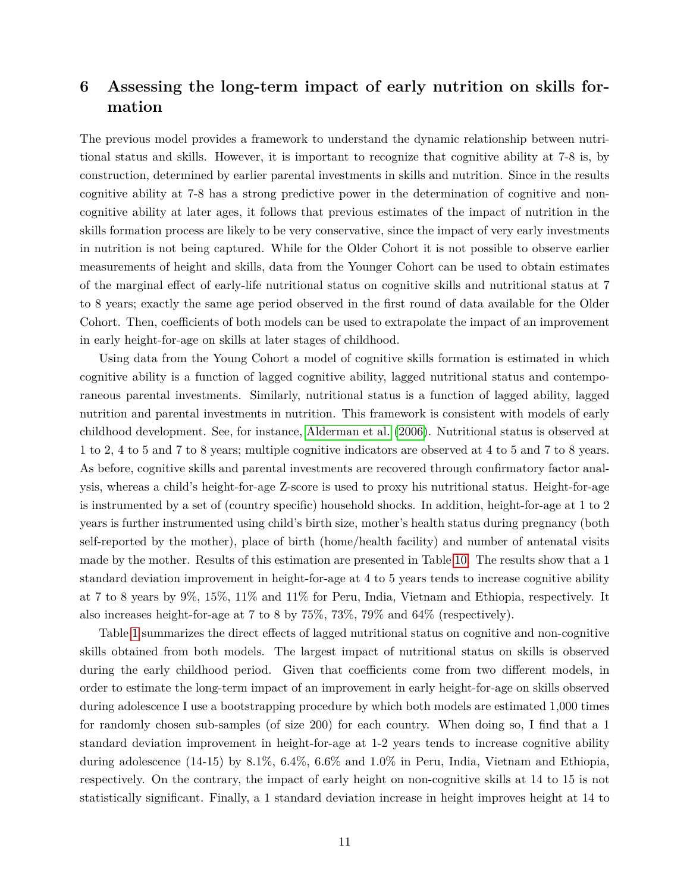# <span id="page-10-0"></span>**6 Assessing the long-term impact of early nutrition on skills formation**

The previous model provides a framework to understand the dynamic relationship between nutritional status and skills. However, it is important to recognize that cognitive ability at 7-8 is, by construction, determined by earlier parental investments in skills and nutrition. Since in the results cognitive ability at 7-8 has a strong predictive power in the determination of cognitive and noncognitive ability at later ages, it follows that previous estimates of the impact of nutrition in the skills formation process are likely to be very conservative, since the impact of very early investments in nutrition is not being captured. While for the Older Cohort it is not possible to observe earlier measurements of height and skills, data from the Younger Cohort can be used to obtain estimates of the marginal effect of early-life nutritional status on cognitive skills and nutritional status at 7 to 8 years; exactly the same age period observed in the first round of data available for the Older Cohort. Then, coefficients of both models can be used to extrapolate the impact of an improvement in early height-for-age on skills at later stages of childhood.

Using data from the Young Cohort a model of cognitive skills formation is estimated in which cognitive ability is a function of lagged cognitive ability, lagged nutritional status and contemporaneous parental investments. Similarly, nutritional status is a function of lagged ability, lagged nutrition and parental investments in nutrition. This framework is consistent with models of early childhood development. See, for instance, [Alderman et al.](#page-11-2) [\(2006\)](#page-11-2). Nutritional status is observed at 1 to 2, 4 to 5 and 7 to 8 years; multiple cognitive indicators are observed at 4 to 5 and 7 to 8 years. As before, cognitive skills and parental investments are recovered through confirmatory factor analysis, whereas a child's height-for-age Z-score is used to proxy his nutritional status. Height-for-age is instrumented by a set of (country specific) household shocks. In addition, height-for-age at 1 to 2 years is further instrumented using child's birth size, mother's health status during pregnancy (both self-reported by the mother), place of birth (home/health facility) and number of antenatal visits made by the mother. Results of this estimation are presented in Table [10.](#page-22-0) The results show that a 1 standard deviation improvement in height-for-age at 4 to 5 years tends to increase cognitive ability at 7 to 8 years by 9%, 15%, 11% and 11% for Peru, India, Vietnam and Ethiopia, respectively. It also increases height-for-age at 7 to 8 by 75%, 73%, 79% and 64% (respectively).

Table [1](#page-13-0) summarizes the direct effects of lagged nutritional status on cognitive and non-cognitive skills obtained from both models. The largest impact of nutritional status on skills is observed during the early childhood period. Given that coefficients come from two different models, in order to estimate the long-term impact of an improvement in early height-for-age on skills observed during adolescence I use a bootstrapping procedure by which both models are estimated 1,000 times for randomly chosen sub-samples (of size 200) for each country. When doing so, I find that a 1 standard deviation improvement in height-for-age at 1-2 years tends to increase cognitive ability during adolescence (14-15) by 8.1%, 6.4%, 6.6% and 1.0% in Peru, India, Vietnam and Ethiopia, respectively. On the contrary, the impact of early height on non-cognitive skills at 14 to 15 is not statistically significant. Finally, a 1 standard deviation increase in height improves height at 14 to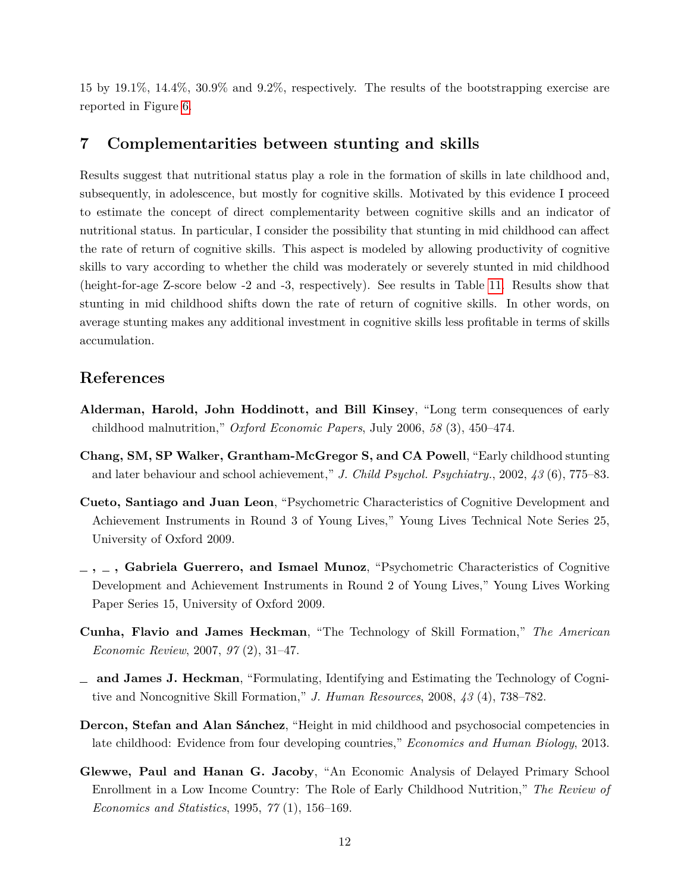15 by 19.1%, 14.4%, 30.9% and 9.2%, respectively. The results of the bootstrapping exercise are reported in Figure [6.](#page-29-0)

#### <span id="page-11-0"></span>**7 Complementarities between stunting and skills**

Results suggest that nutritional status play a role in the formation of skills in late childhood and, subsequently, in adolescence, but mostly for cognitive skills. Motivated by this evidence I proceed to estimate the concept of direct complementarity between cognitive skills and an indicator of nutritional status. In particular, I consider the possibility that stunting in mid childhood can affect the rate of return of cognitive skills. This aspect is modeled by allowing productivity of cognitive skills to vary according to whether the child was moderately or severely stunted in mid childhood (height-for-age Z-score below -2 and -3, respectively). See results in Table [11.](#page-23-0) Results show that stunting in mid childhood shifts down the rate of return of cognitive skills. In other words, on average stunting makes any additional investment in cognitive skills less profitable in terms of skills accumulation.

#### **References**

- <span id="page-11-2"></span>**Alderman, Harold, John Hoddinott, and Bill Kinsey**, "Long term consequences of early childhood malnutrition," *Oxford Economic Papers*, July 2006, *58* (3), 450–474.
- <span id="page-11-5"></span>**Chang, SM, SP Walker, Grantham-McGregor S, and CA Powell**, "Early childhood stunting and later behaviour and school achievement," *J. Child Psychol. Psychiatry.*, 2002, *43* (6), 775–83.
- <span id="page-11-8"></span>**Cueto, Santiago and Juan Leon**, "Psychometric Characteristics of Cognitive Development and Achievement Instruments in Round 3 of Young Lives," Young Lives Technical Note Series 25, University of Oxford 2009.
- <span id="page-11-7"></span>**, , Gabriela Guerrero, and Ismael Munoz**, "Psychometric Characteristics of Cognitive Development and Achievement Instruments in Round 2 of Young Lives," Young Lives Working Paper Series 15, University of Oxford 2009.
- <span id="page-11-1"></span>**Cunha, Flavio and James Heckman**, "The Technology of Skill Formation," *The American Economic Review*, 2007, *97* (2), 31–47.
- <span id="page-11-6"></span>**and James J. Heckman**, "Formulating, Identifying and Estimating the Technology of Cognitive and Noncognitive Skill Formation," *J. Human Resources*, 2008, *43* (4), 738–782.
- <span id="page-11-4"></span>**Dercon, Stefan and Alan Sánchez**, "Height in mid childhood and psychosocial competencies in late childhood: Evidence from four developing countries," *Economics and Human Biology*, 2013.
- <span id="page-11-3"></span>**Glewwe, Paul and Hanan G. Jacoby**, "An Economic Analysis of Delayed Primary School Enrollment in a Low Income Country: The Role of Early Childhood Nutrition," *The Review of Economics and Statistics*, 1995, *77* (1), 156–169.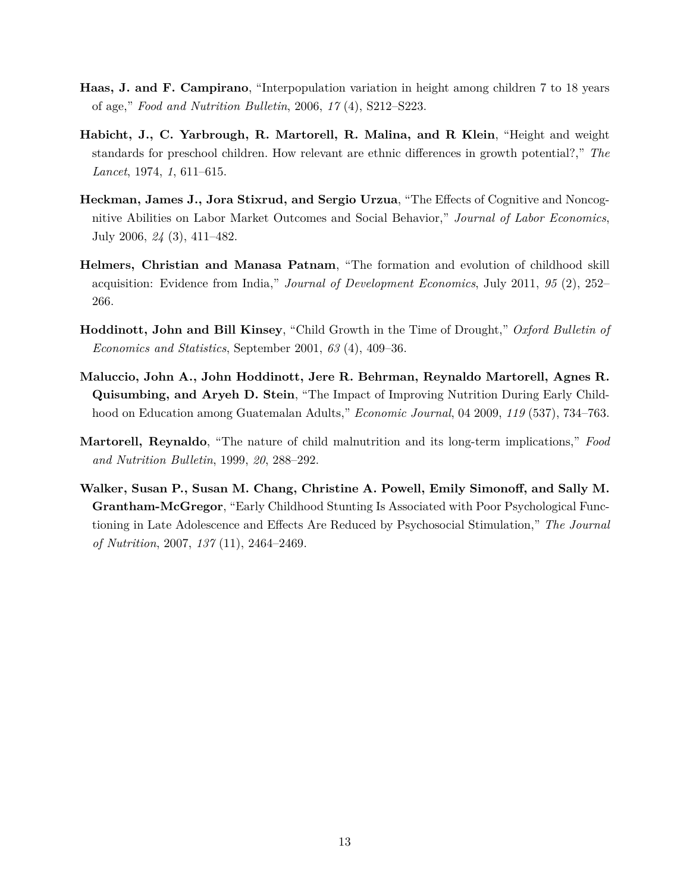- <span id="page-12-7"></span>**Haas, J. and F. Campirano**, "Interpopulation variation in height among children 7 to 18 years of age," *Food and Nutrition Bulletin*, 2006, *17* (4), S212–S223.
- <span id="page-12-5"></span>**Habicht, J., C. Yarbrough, R. Martorell, R. Malina, and R Klein**, "Height and weight standards for preschool children. How relevant are ethnic differences in growth potential?," *The Lancet*, 1974, *1*, 611–615.
- <span id="page-12-0"></span>**Heckman, James J., Jora Stixrud, and Sergio Urzua**, "The Effects of Cognitive and Noncognitive Abilities on Labor Market Outcomes and Social Behavior," *Journal of Labor Economics*, July 2006, *24* (3), 411–482.
- <span id="page-12-4"></span>**Helmers, Christian and Manasa Patnam**, "The formation and evolution of childhood skill acquisition: Evidence from India," *Journal of Development Economics*, July 2011, *95* (2), 252– 266.
- <span id="page-12-1"></span>**Hoddinott, John and Bill Kinsey**, "Child Growth in the Time of Drought," *Oxford Bulletin of Economics and Statistics*, September 2001, *63* (4), 409–36.
- <span id="page-12-2"></span>**Maluccio, John A., John Hoddinott, Jere R. Behrman, Reynaldo Martorell, Agnes R. Quisumbing, and Aryeh D. Stein**, "The Impact of Improving Nutrition During Early Childhood on Education among Guatemalan Adults," *Economic Journal*, 04 2009, *119* (537), 734–763.
- <span id="page-12-6"></span>**Martorell, Reynaldo**, "The nature of child malnutrition and its long-term implications," *Food and Nutrition Bulletin*, 1999, *20*, 288–292.
- <span id="page-12-3"></span>**Walker, Susan P., Susan M. Chang, Christine A. Powell, Emily Simonoff, and Sally M. Grantham-McGregor**, "Early Childhood Stunting Is Associated with Poor Psychological Functioning in Late Adolescence and Effects Are Reduced by Psychosocial Stimulation," *The Journal of Nutrition*, 2007, *137* (11), 2464–2469.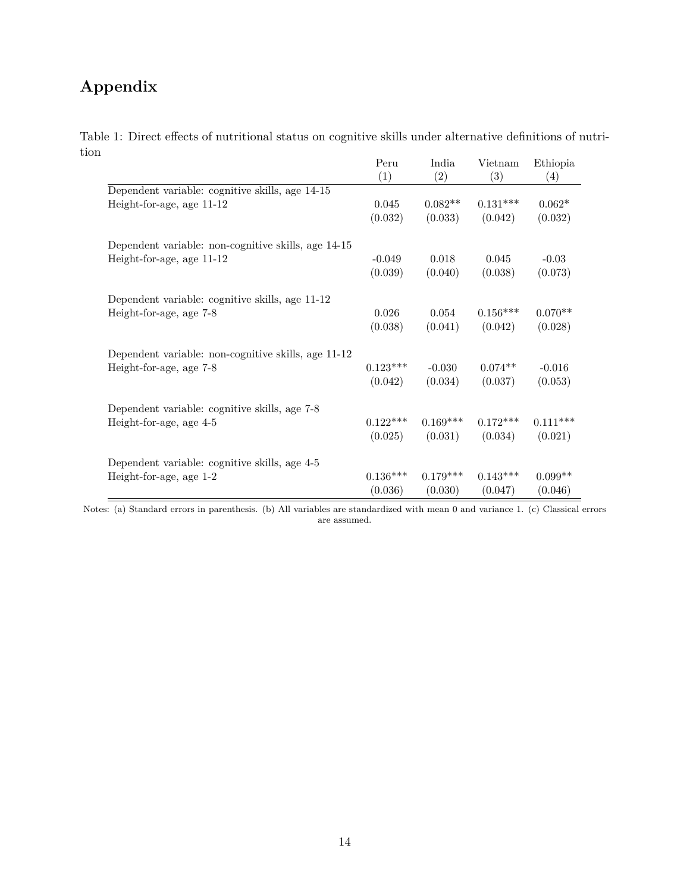# **Appendix**

Table 1: Direct effects of nutritional status on cognitive skills under alternative definitions of nutrition

<span id="page-13-0"></span>

|                                                     | Peru       | India      | Vietnam    | Ethiopia   |
|-----------------------------------------------------|------------|------------|------------|------------|
|                                                     | (1)        | (2)        | (3)        | (4)        |
| Dependent variable: cognitive skills, age 14-15     |            |            |            |            |
| Height-for-age, age 11-12                           | 0.045      | $0.082**$  | $0.131***$ | $0.062*$   |
|                                                     | (0.032)    | (0.033)    | (0.042)    | (0.032)    |
| Dependent variable: non-cognitive skills, age 14-15 |            |            |            |            |
| Height-for-age, age 11-12                           | $-0.049$   | 0.018      | 0.045      | $-0.03$    |
|                                                     | (0.039)    | (0.040)    | (0.038)    | (0.073)    |
| Dependent variable: cognitive skills, age 11-12     |            |            |            |            |
| Height-for-age, age 7-8                             | 0.026      | 0.054      | $0.156***$ | $0.070**$  |
|                                                     | (0.038)    | (0.041)    | (0.042)    | (0.028)    |
| Dependent variable: non-cognitive skills, age 11-12 |            |            |            |            |
| Height-for-age, age 7-8                             | $0.123***$ | $-0.030$   | $0.074**$  | $-0.016$   |
|                                                     | (0.042)    | (0.034)    | (0.037)    | (0.053)    |
| Dependent variable: cognitive skills, age 7-8       |            |            |            |            |
| Height-for-age, age 4-5                             | $0.122***$ | $0.169***$ | $0.172***$ | $0.111***$ |
|                                                     | (0.025)    | (0.031)    | (0.034)    | (0.021)    |
| Dependent variable: cognitive skills, age 4-5       |            |            |            |            |
| Height-for-age, age 1-2                             | $0.136***$ | $0.179***$ | $0.143***$ | $0.099**$  |
|                                                     | (0.036)    | (0.030)    | (0.047)    | (0.046)    |

Notes: (a) Standard errors in parenthesis. (b) All variables are standardized with mean 0 and variance 1. (c) Classical errors are assumed.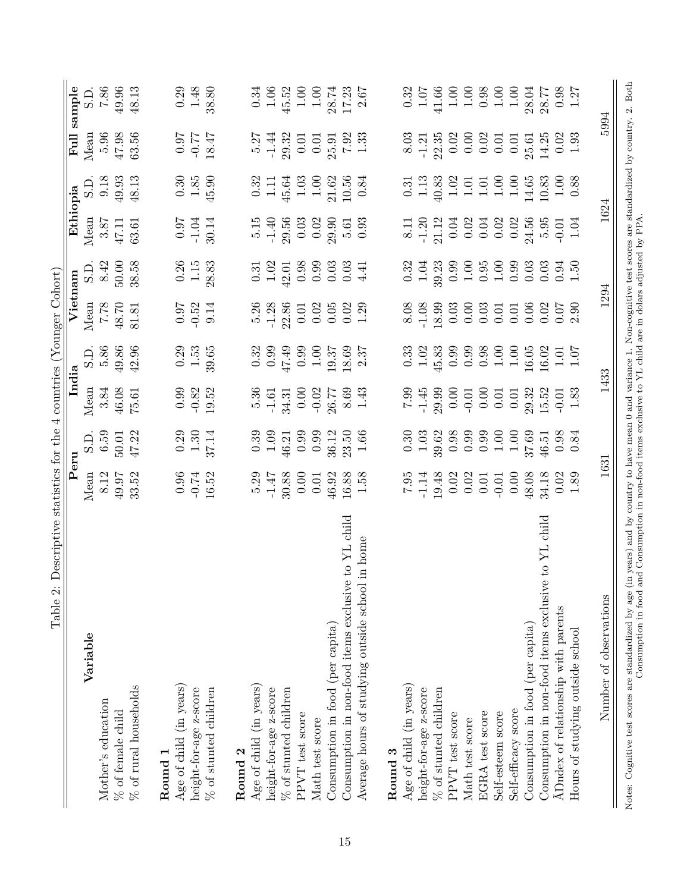<span id="page-14-0"></span>

| LaUIG 4.                                                                                                                                                                     |                                                       |                                             |                                                       |                                                          |                                                       |                                                      |                                                                                                                                                                                                                                                                                                               |                                                               |                                                       |                                                                       |
|------------------------------------------------------------------------------------------------------------------------------------------------------------------------------|-------------------------------------------------------|---------------------------------------------|-------------------------------------------------------|----------------------------------------------------------|-------------------------------------------------------|------------------------------------------------------|---------------------------------------------------------------------------------------------------------------------------------------------------------------------------------------------------------------------------------------------------------------------------------------------------------------|---------------------------------------------------------------|-------------------------------------------------------|-----------------------------------------------------------------------|
|                                                                                                                                                                              | Peru                                                  |                                             | India                                                 |                                                          | Vietnam                                               |                                                      | Ethiopia                                                                                                                                                                                                                                                                                                      |                                                               | $\overline{\text{Full}}$                              | sample                                                                |
| Variable                                                                                                                                                                     | Mean                                                  | S.D                                         | Mean                                                  |                                                          | Mean                                                  |                                                      | Mean                                                                                                                                                                                                                                                                                                          |                                                               | Mean                                                  | $\overline{\text{SD}}$ .                                              |
| Mother's education                                                                                                                                                           | 8.12                                                  | 6.59                                        | 3.84                                                  | $\begin{array}{c} \text{S.D.}\\ \text{5.86} \end{array}$ |                                                       | $\underset{8.42}{\text{S.D.}}$                       |                                                                                                                                                                                                                                                                                                               | $\underset{9.18}{\text{S.D.}}$                                | 5.96                                                  |                                                                       |
| % of female child                                                                                                                                                            | 49.97                                                 |                                             | 46.08                                                 |                                                          | $7.78$ $\phantom{00}$                                 | 50.00                                                |                                                                                                                                                                                                                                                                                                               |                                                               |                                                       | $7.86 \newline 49.96$                                                 |
| $\%$ of rural households                                                                                                                                                     | 33.52                                                 | 50.01<br>47.22                              | 75.61                                                 | $49.86$<br>$42.96$                                       | 81.81                                                 | 38.58                                                | $\begin{array}{c} 3.87 \\ 47.11 \\ 63.61 \end{array}$                                                                                                                                                                                                                                                         | $49.93$<br>$48.13$                                            | $47.98$<br>63.56                                      | 48.13                                                                 |
| Round 1                                                                                                                                                                      |                                                       |                                             |                                                       |                                                          |                                                       |                                                      |                                                                                                                                                                                                                                                                                                               |                                                               |                                                       |                                                                       |
|                                                                                                                                                                              |                                                       |                                             |                                                       |                                                          |                                                       |                                                      |                                                                                                                                                                                                                                                                                                               |                                                               |                                                       |                                                                       |
| Age of child (in years)                                                                                                                                                      |                                                       |                                             |                                                       |                                                          |                                                       |                                                      |                                                                                                                                                                                                                                                                                                               |                                                               |                                                       |                                                                       |
| height-for-age z-score                                                                                                                                                       |                                                       |                                             |                                                       | $\begin{array}{c} 0.29 \\ 1.53 \end{array}$              |                                                       |                                                      |                                                                                                                                                                                                                                                                                                               |                                                               |                                                       |                                                                       |
| % of stunted children                                                                                                                                                        | $\begin{array}{c} 0.96 \\ -0.74 \\ 16.52 \end{array}$ | $\frac{0.29}{1.30}$<br>37.14                | $\begin{array}{c} 0.99 \\ -0.82 \\ 19.52 \end{array}$ | 39.65                                                    | $\begin{array}{c} 0.97 \\ -0.52 \\ 9.14 \end{array}$  | $\begin{array}{c} 0.26 \\ 1.15 \\ 28.83 \end{array}$ | $\frac{0.97}{-1.04}$                                                                                                                                                                                                                                                                                          | $\begin{array}{c} 0.30 \\ 1.85 \\ 45.90 \end{array}$          | $7.81$<br>77.0-<br>77.0-                              | $\begin{array}{c} 0.29 \\ 1.48 \\ 38.80 \end{array}$                  |
| Round 2                                                                                                                                                                      |                                                       |                                             |                                                       |                                                          |                                                       |                                                      |                                                                                                                                                                                                                                                                                                               |                                                               |                                                       |                                                                       |
| Age of child (in years)                                                                                                                                                      | 5.29                                                  |                                             |                                                       |                                                          |                                                       |                                                      |                                                                                                                                                                                                                                                                                                               |                                                               |                                                       | 0.34                                                                  |
| height-for-age z-score                                                                                                                                                       | $-1.47$                                               | $0.39$<br>1.09                              | $\frac{5.36}{-1.61}$                                  |                                                          |                                                       | $\begin{array}{c} 0.31 \\ 1.02 \end{array}$          |                                                                                                                                                                                                                                                                                                               | $\frac{0.32}{1.11}$                                           |                                                       | 1.06                                                                  |
| % of stunted children                                                                                                                                                        | 30.88                                                 | 46.21                                       | 34.31                                                 | $0.32$<br>$0.99$<br>$47.49$                              | $\begin{array}{c} 5.26 \\ -1.28 \\ 22.86 \end{array}$ | $42.01$<br>0.98<br>0.99<br>0.03                      | $\begin{array}{c} 5.15 \\ -1.40 \\ 29.56 \\ 0.03 \\ 0.02 \\ 0.01 \\ 0.03 \\ 0.03 \\ 0.03 \\ \end{array}$                                                                                                                                                                                                      |                                                               | $\frac{5.27}{-1.44}$                                  | 45.52                                                                 |
| PPVT test score                                                                                                                                                              | 0.00                                                  | 0.99                                        | 0.00                                                  | 0.99                                                     |                                                       |                                                      |                                                                                                                                                                                                                                                                                                               |                                                               | 0.01                                                  |                                                                       |
| Math test score                                                                                                                                                              | 0.01                                                  | 0.99                                        | $-0.02$                                               | $1.00$                                                   | $\begin{array}{c} 0.01 \\ 0.02 \\ 0.05 \end{array}$   |                                                      |                                                                                                                                                                                                                                                                                                               | $\begin{array}{c} 45.64 \\ 1.03 \\ 1.00 \\ 21.62 \end{array}$ | 0.01                                                  |                                                                       |
| Consumption in food (per capita)                                                                                                                                             | 46.92                                                 | 36.12                                       | 26.77                                                 | 19.37                                                    |                                                       |                                                      |                                                                                                                                                                                                                                                                                                               |                                                               | 25.91                                                 |                                                                       |
| Consumption in non-food items exclusive to YL child                                                                                                                          | $16.88\,$                                             | 23.50                                       | $8.69$<br>1.43                                        | 18.69                                                    | 0.02                                                  | 0.03                                                 |                                                                                                                                                                                                                                                                                                               | 10.56                                                         | $7.92 \newline 1.33$                                  | $\begin{array}{c} 1.00 \\ 1.00 \\ 28.74 \\ 17.23 \\ 2.67 \end{array}$ |
| in home<br>Average hours of studying outside school                                                                                                                          | 1.58                                                  | 1.66                                        |                                                       | 2.37                                                     | 1.29                                                  | 4.41                                                 |                                                                                                                                                                                                                                                                                                               | 0.84                                                          |                                                       |                                                                       |
| Round 3                                                                                                                                                                      |                                                       |                                             |                                                       |                                                          |                                                       |                                                      |                                                                                                                                                                                                                                                                                                               |                                                               |                                                       |                                                                       |
| Age of child (in years)                                                                                                                                                      |                                                       |                                             |                                                       |                                                          | 8.08                                                  |                                                      |                                                                                                                                                                                                                                                                                                               |                                                               |                                                       | 0.32                                                                  |
| height-for-age z-score                                                                                                                                                       | $7.95$<br>-1.14                                       | $\begin{array}{c} 0.30 \\ 1.03 \end{array}$ | $7.99$<br>$-1.45$<br>$29.99$                          | $\begin{array}{c} 0.33 \\ 1.02 \\ 45.83 \end{array}$     |                                                       | $\begin{array}{c} 0.32 \\ 1.04 \\ 39.23 \end{array}$ |                                                                                                                                                                                                                                                                                                               | $\begin{array}{c} 0.31 \\ 1.13 \end{array}$                   | $\begin{array}{c} 8.03 \\ -1.21 \\ 22.35 \end{array}$ | 1.07                                                                  |
| % of stunted children                                                                                                                                                        | 19.48                                                 | 39.62                                       |                                                       |                                                          | $-1.08$<br>18.99                                      |                                                      |                                                                                                                                                                                                                                                                                                               | 40.83                                                         |                                                       | 41.66                                                                 |
| PPVT test score                                                                                                                                                              | 0.02                                                  |                                             | 0.00                                                  | 0.99                                                     | $0.03$<br>$0.00$                                      |                                                      | $\begin{array}{c} 8.11 \\ 8.12 \\ 1.20 \\ 1.12 \\ 0.00 \\ 0.00 \\ 0.00 \\ 0.00 \\ 0.00 \\ 0.00 \\ 0.00 \\ 0.00 \\ 0.00 \\ 0.00 \\ 0.00 \\ 0.00 \\ 0.00 \\ 0.00 \\ 0.00 \\ 0.00 \\ 0.00 \\ 0.00 \\ 0.00 \\ 0.00 \\ 0.00 \\ 0.00 \\ 0.00 \\ 0.00 \\ 0.00 \\ 0.00 \\ 0.00 \\ 0.00 \\ 0.00 \\ 0.00 \\ 0.00 \\ 0.$ |                                                               |                                                       | 1.00                                                                  |
| Math test score                                                                                                                                                              | 0.02                                                  | 0.98                                        | $-0.01$                                               | 0.99                                                     |                                                       | $0.99$<br>1.00                                       |                                                                                                                                                                                                                                                                                                               | $\begin{array}{c} 1.02 \\ 1.01 \\ 1.01 \\ 1.01 \end{array}$   | $0.02$<br>$0.00$<br>$0.02$                            | $1.00$                                                                |
| EGRA test score                                                                                                                                                              | 0.01                                                  | 0.99                                        | 0.00                                                  | 0.98                                                     | 0.03                                                  | $\begin{array}{c} 0.95 \\ 1.00 \end{array}$          |                                                                                                                                                                                                                                                                                                               |                                                               |                                                       | 0.98                                                                  |
| Self-esteem score                                                                                                                                                            | $-0.01$                                               | 1.00                                        | 0.01                                                  |                                                          | 0.01                                                  |                                                      |                                                                                                                                                                                                                                                                                                               |                                                               | 0.01                                                  | $1.00\,$                                                              |
| Self-efficacy score                                                                                                                                                          | 0.00                                                  | 1.00                                        | 0.01                                                  | $1.00\phantom{0}1.00$                                    | 0.01                                                  | 0.99                                                 |                                                                                                                                                                                                                                                                                                               | 1.00                                                          | 0.01                                                  | $1.00$                                                                |
| Consumption in food (per capita)                                                                                                                                             | 48.08                                                 | 37.69                                       | 29.32                                                 | 16.05                                                    | 0.06                                                  | 0.03                                                 |                                                                                                                                                                                                                                                                                                               | 14.65                                                         | 25.61                                                 | 28.04                                                                 |
| Consumption in non-food items exclusive to YL child                                                                                                                          | 34.18                                                 | 46.51                                       | 15.52                                                 | 16.02                                                    | 0.02                                                  | 0.03                                                 |                                                                                                                                                                                                                                                                                                               |                                                               | 14.25                                                 | 28.77                                                                 |
| ADndex of relationship with parents                                                                                                                                          | 0.02                                                  | 0.98                                        | $-0.01$                                               | $1.01$<br>$1.07$                                         | 0.07                                                  | 0.94                                                 | $-0.01$<br>1.04                                                                                                                                                                                                                                                                                               | $\begin{array}{c} 10.83 \\ 1.00 \\ 0.88 \end{array}$          | 0.02                                                  | 0.98                                                                  |
| Hours of studying outside school                                                                                                                                             | 1.89                                                  | 0.84                                        | 1.83                                                  |                                                          | 2.90                                                  | 1.50                                                 |                                                                                                                                                                                                                                                                                                               |                                                               | 1.93                                                  | 1.27                                                                  |
| Number of observations                                                                                                                                                       | 1631                                                  |                                             |                                                       | 1433                                                     | 1294                                                  |                                                      | 1624                                                                                                                                                                                                                                                                                                          |                                                               | 5994                                                  |                                                                       |
| Notes: Cognitive test scores are standardized by age (in years) and by country to have mean 0 and variance 1. Non-cognitive test scores are standardized by country. 2. Both |                                                       |                                             |                                                       |                                                          |                                                       |                                                      |                                                                                                                                                                                                                                                                                                               |                                                               |                                                       |                                                                       |
| Consumption in food and Consumption in non-food items exclusive to YL child are in dolars adjusted by PPA.                                                                   |                                                       |                                             |                                                       |                                                          |                                                       |                                                      |                                                                                                                                                                                                                                                                                                               |                                                               |                                                       |                                                                       |

Table 2: Descriptive statistics for the 4 countries (Younger Cohort) Table 2: Descriptive statistics for the 4 countries (Younger Cohort)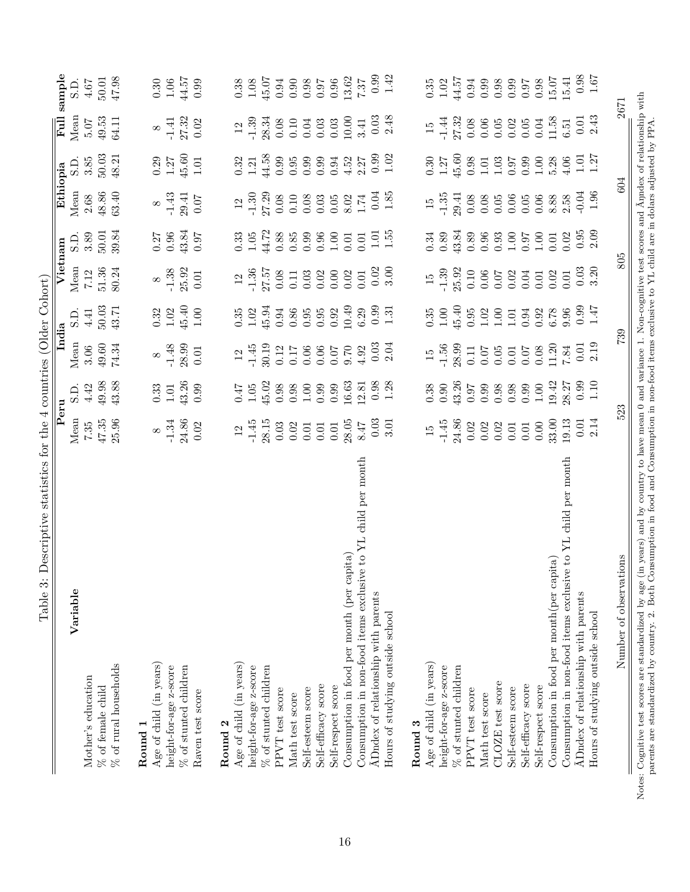<span id="page-15-0"></span>

|                                                                                                                                                                      |                    |                                             | India            |                                              | Vietnam                                     |                                             | Ethiopia                                     |                                              | Ful                                          | sample                                                       |
|----------------------------------------------------------------------------------------------------------------------------------------------------------------------|--------------------|---------------------------------------------|------------------|----------------------------------------------|---------------------------------------------|---------------------------------------------|----------------------------------------------|----------------------------------------------|----------------------------------------------|--------------------------------------------------------------|
| Variable                                                                                                                                                             | Peru<br>Mean       | S.D.                                        | Mean             | S.D.                                         | Mean                                        |                                             | Mean                                         | S.D                                          | Mean                                         | S.D.                                                         |
| Mother's education                                                                                                                                                   | 7.35               | 4.42                                        | 3.06             | 4.41                                         | 7.12                                        | S.D.<br>3.89                                | 2.68                                         | 3.85                                         | 5.07                                         | $4.67\,$                                                     |
| % of female child                                                                                                                                                    |                    | 49.98                                       | $49.60\,$        | 50.03                                        | $51.36\,$                                   | 50.01                                       | 48.86                                        | $50.03$                                      | 49.53                                        | $50.01$                                                      |
| $\%$ of rural households                                                                                                                                             | $47.35$<br>$25.96$ | 43.88                                       | 74.34            | 43.71                                        | 80.24                                       | 39.84                                       | 63.40                                        | 48.21                                        | 64.11                                        | 47.98                                                        |
| Round <sub>1</sub>                                                                                                                                                   |                    |                                             |                  |                                              |                                             |                                             |                                              |                                              |                                              |                                                              |
| Age of child (in years)                                                                                                                                              | $\infty$           | $\begin{array}{c} 0.33 \\ 1.01 \end{array}$ | $\infty$         |                                              | $\infty$                                    |                                             |                                              |                                              | $\infty$                                     |                                                              |
| height-for-age z-score                                                                                                                                               | $-1.34$            |                                             |                  | $\begin{array}{c} 0.32 \\ 1.02 \end{array}$  | $-1.38$                                     | $\begin{array}{c} 0.27 \\ 0.96 \end{array}$ | $\frac{8}{1.43}$                             | $\begin{array}{c} 0.29 \\ 1.27 \end{array}$  |                                              |                                                              |
| $\%$ of stunted children                                                                                                                                             | 24.86              | 43.26                                       | $-1.48$<br>28.99 |                                              | 25.92                                       | 43.84                                       |                                              |                                              |                                              |                                                              |
| Raven test score                                                                                                                                                     | 0.02               | 0.99                                        | $0.01\,$         | $\begin{array}{c} 45.40 \\ 1.00 \end{array}$ | $0.01\,$                                    | 0.97                                        | $\begin{array}{c} 29.41 \\ 0.07 \end{array}$ | $\begin{array}{c} 45.60 \\ 1.01 \end{array}$ | $\frac{-1.41}{27.32}$                        | $\begin{array}{c} 0.30 \\ 1.06 \\ 44.57 \\ 0.99 \end{array}$ |
| Round <sub>2</sub>                                                                                                                                                   |                    |                                             |                  |                                              |                                             |                                             |                                              |                                              |                                              |                                                              |
| Age of child (in years)                                                                                                                                              | $12\,$             |                                             | $12\,$           |                                              |                                             |                                             | 12                                           |                                              |                                              |                                                              |
| height-for-age z-score                                                                                                                                               | $-1.45$            | $0.47$<br>$1.05$                            | $-1.45$          | $\begin{array}{c} 0.35 \\ 1.02 \end{array}$  |                                             | $\begin{array}{c} 0.33 \\ 1.05 \end{array}$ | $-1.30$                                      | $0.32$<br>1.21                               | $12$<br>$-1.39$                              | $\begin{array}{c} 0.38 \\ 1.08 \end{array}$                  |
| % of stunted children                                                                                                                                                | 28.15              | 45.02                                       | 30.19            | 45.94                                        | $\frac{12}{27.57}$                          | 44.72                                       | 27.29                                        | 44.58                                        | 28.34                                        | 45.07                                                        |
| PPVT test score                                                                                                                                                      | 0.03               | 0.98                                        | 0.12             | 0.94                                         | $0.08\,$                                    | $0.88\,$                                    | $0.08\,$                                     | 0.99                                         | 0.08                                         |                                                              |
| Math test score                                                                                                                                                      | 0.02               | 0.98                                        | 0.17             | $0.86\,$                                     | $0.11\,$                                    | $0.85\,$                                    | $0.10\,$                                     | 0.95                                         | 0.10                                         | $0.96$<br>$0.98$<br>$0.98$                                   |
| Self-esteem score                                                                                                                                                    | $0.01\,$           | $1.00\,$                                    | 0.06             | 0.95                                         | 0.03                                        | 0.99                                        | 0.08                                         | 0.99                                         | 0.04                                         |                                                              |
| Self-efficacy score                                                                                                                                                  | $0.01\,$           | 0.99                                        | 0.06             | $0.95\,$                                     | 0.02                                        | $0.96\,$                                    | $0.03\,$                                     | 0.99                                         | 0.03                                         | $0.97$<br>0.96                                               |
| Self-respect score                                                                                                                                                   | $0.01\,$           | 0.99                                        |                  | 0.92                                         | 0.00                                        | $1.00\,$                                    |                                              | 0.94                                         | $\begin{array}{c} 0.03 \\ 10.00 \end{array}$ |                                                              |
| Consumption in food per month (per capita)                                                                                                                           | 28.05              | 16.63                                       | $0.70$<br>70.0   | 10.49                                        | 0.02                                        | 0.01                                        | $0.05$<br>$8.02$<br>$1.74$                   | 4.52                                         |                                              | 13.62                                                        |
| e to YL child per month<br>Consumption in non-food items exclusiv                                                                                                    | 8.47               | 12.81                                       | 4.92             | $6.29\,$                                     | 0.01                                        | $0.01\,$                                    |                                              | 2.27                                         | 3.41                                         | $7.37\,$                                                     |
| ADndex of relationship with parents                                                                                                                                  | 0.03               | 0.98                                        | $0.03$<br>$2.04$ | 0.99                                         | $\frac{0.02}{3.00}$                         | 1.01                                        | $0.04$<br>1.85                               | $0.99$<br>$1.02$                             | $0.03$<br>2.48                               | $0.99$<br>$1.42$                                             |
| Hours of studying outside school                                                                                                                                     | 3.01               | 1.28                                        |                  | 1.31                                         |                                             | 1.55                                        |                                              |                                              |                                              |                                                              |
| Round 3                                                                                                                                                              |                    |                                             |                  |                                              |                                             |                                             |                                              |                                              |                                              |                                                              |
| Age of child (in years)                                                                                                                                              | $\overline{15}$    |                                             | $\overline{15}$  |                                              | $\frac{5}{2}$                               |                                             | $\overline{15}$                              |                                              | $\overline{15}$                              |                                                              |
| height-for-age z-score                                                                                                                                               | $-1.45$            | 0.38                                        | $-1.56$          | $\begin{array}{c} 0.35 \\ 1.00 \end{array}$  | $-1.39$                                     | $0.34$<br>$0.89$                            | $-1.35$                                      | $\begin{array}{c} 0.30 \\ 1.27 \end{array}$  | $-1.44$                                      | $\begin{array}{c} 0.35 \\ 1.02 \end{array}$                  |
| $\%$ of stunted children                                                                                                                                             | 24.86              | 43.26                                       | 28.99            | 45.40                                        | 25.92                                       | 43.84                                       | 29.41                                        | $\begin{array}{c} 45.60 \\ 0.98 \end{array}$ | $\frac{27.32}{0.08}$                         | 44.57                                                        |
| PPVT test score                                                                                                                                                      | 0.02               | 0.97                                        | $0.11\,$         | 0.95                                         | $0.10\,$                                    | $0.89\,$                                    | $0.08\,$                                     |                                              |                                              | $\!0.94\!$                                                   |
| Math test score                                                                                                                                                      | 0.02               | 0.99                                        | 0.07             | 1.02                                         | 0.06                                        | 0.96                                        | $0.08\,$                                     | 1.01                                         | 0.06                                         | 0.99                                                         |
| CLOZE test score                                                                                                                                                     | 0.02               | 0.98                                        | $0.05\,$         | $1.00\,$                                     | 0.07                                        | $\begin{array}{c} 0.93 \\ 1.00 \end{array}$ | 0.05                                         | $1.03$                                       | $0.05\,$                                     | $0.98$<br>0.99                                               |
| Self-esteem score                                                                                                                                                    | $0.01\,$           | 0.98                                        | 0.01             | 1.01                                         | 0.02                                        |                                             | 0.06                                         | 0.97                                         | 0.02                                         |                                                              |
| Self-efficacy score                                                                                                                                                  | $0.01\,$           | 0.99                                        | 0.07             | 0.94                                         | 0.04                                        | 0.97                                        | 0.05                                         | 0.99                                         | $0.05\,$                                     | 0.97                                                         |
| Self-respect score                                                                                                                                                   | $0.00\,$           | $1.00\,$                                    | $0.08\,$         | $0.92$<br>$6.78$                             | $\begin{array}{c} 0.01 \\ 0.02 \end{array}$ | $1.00\,$                                    | 0.06                                         | $\begin{array}{c} 1.00 \\ 5.28 \end{array}$  | $0.04\,$                                     | 0.98                                                         |
| Consumption in food per month (per capita)                                                                                                                           | 33.00              | 19.42                                       | 11.20            |                                              |                                             | 0.01                                        | 8.88                                         |                                              | 11.58                                        | 15.07                                                        |
| Consumption in non-food items exclusive to YL child per month                                                                                                        | 19.13              | 28.27                                       | $7.84$           | 9.96                                         | 0.01                                        | 0.02                                        | 2.58                                         | 4.06                                         | $6.51\,$                                     | 15.41                                                        |
| ADndex of relationship with parents                                                                                                                                  | 0.01               | 0.99                                        | $0.01$<br>$2.19$ | $0.99$<br>1.47                               | 0.03                                        | 0.95                                        | $-0.04$                                      | 1.01                                         | $0.01$<br>2.43                               | $\begin{array}{c} 0.98 \\ 1.67 \end{array}$                  |
| Hours of studying outside school                                                                                                                                     | 2.14               | 1.10                                        |                  |                                              | 3.20                                        | 2.09                                        | 1.96                                         | 1.27                                         |                                              |                                                              |
| Number of observations                                                                                                                                               | 523                |                                             | 739              |                                              | 805                                         |                                             | 604                                          |                                              | 2671                                         |                                                              |
| ss: Cognitive test scores are standardized by age (in years) and by country to have mean 0 and variance 1. Non-cognitive test scores and Anndex of relationship with |                    |                                             |                  |                                              |                                             |                                             |                                              |                                              |                                              |                                                              |

Notes: Cognitive test scores are standardized by age (in years) and by country to have mean 0 and variance 1. Non-cognitive test scores and Ãŋndex of relationship with parents are standardized by country. 2. Both Consumption in food and Consumption in non-food items exclusive to YL child are in dolars adjusted by PPA. parents are standardized by country. 2. Both Consumption in food and Consumption in non-food items exclusive to YL child are in dolars adjusted by PPA. Notes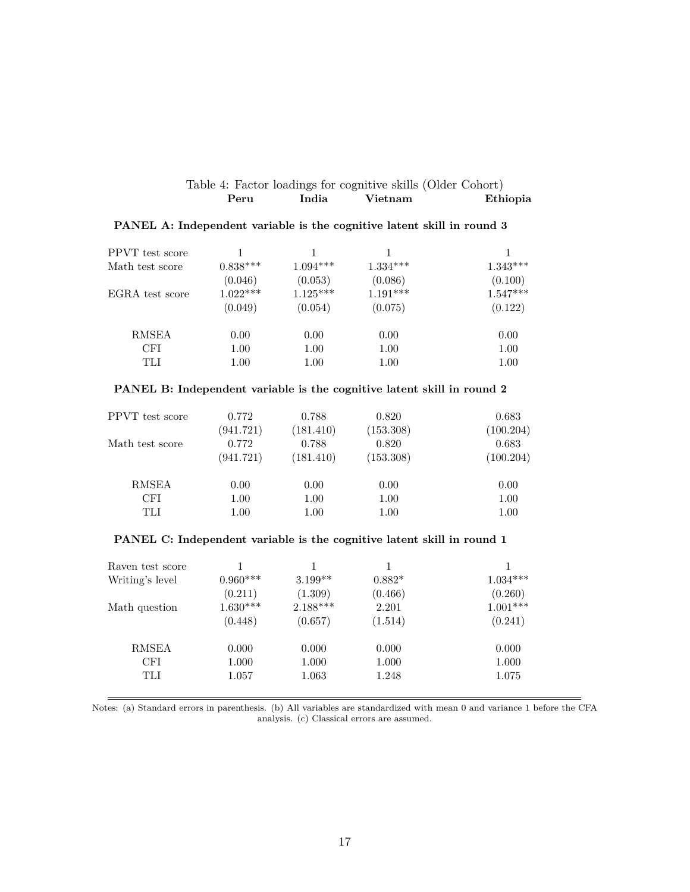<span id="page-16-0"></span>

|      |       | Table 4: Factor loadings for cognitive skills (Older Cohort) |          |
|------|-------|--------------------------------------------------------------|----------|
| Peru | India | Vietnam                                                      | Ethiopia |

| PPVT test score |            |            |            |            |
|-----------------|------------|------------|------------|------------|
| Math test score | $0.838***$ | $1.094***$ | $1.334***$ | $1.343***$ |
|                 | (0.046)    | (0.053)    | (0.086)    | (0.100)    |
| EGRA test score | $1.022***$ | $1.125***$ | $1.191***$ | $1.547***$ |
|                 | (0.049)    | (0.054)    | (0.075)    | (0.122)    |
| <b>RMSEA</b>    | 0.00       | 0.00       | 0.00       | 0.00       |
| CFI             | 1.00       | 1.00       | 1.00       | 1.00       |
| TLI             | 1.00       | 1.00       | 1.00       | 1.00       |

#### **PANEL A: Independent variable is the cognitive latent skill in round 3**

#### **PANEL B: Independent variable is the cognitive latent skill in round 2**

| PPVT test score | 0.772              | 0.788              | 0.820              | 0.683              |
|-----------------|--------------------|--------------------|--------------------|--------------------|
| Math test score | (941.721)<br>0.772 | (181.410)<br>0.788 | (153.308)<br>0.820 | (100.204)<br>0.683 |
|                 | (941.721)          | (181.410)          | (153.308)          | (100.204)          |
| <b>RMSEA</b>    | 0.00               | 0.00               | 0.00               | 0.00               |
| CFI             | 1.00               | 1.00               | 1.00               | 1.00               |
| TLI             | 1.00               | 1.00               | 1.00               | 1.00               |

#### **PANEL C: Independent variable is the cognitive latent skill in round 1**

| Raven test score |            |            |          |            |
|------------------|------------|------------|----------|------------|
| Writing's level  | $0.960***$ | $3.199**$  | $0.882*$ | $1.034***$ |
|                  | (0.211)    | (1.309)    | (0.466)  | (0.260)    |
| Math question    | $1.630***$ | $2.188***$ | 2.201    | $1.001***$ |
|                  | (0.448)    | (0.657)    | (1.514)  | (0.241)    |
| <b>RMSEA</b>     | 0.000      | 0.000      | 0.000    | 0.000      |
| <b>CFI</b>       | 1.000      | 1.000      | 1.000    | 1.000      |
| TLI              | 1.057      | 1.063      | 1.248    | 1.075      |

Notes: (a) Standard errors in parenthesis. (b) All variables are standardized with mean 0 and variance 1 before the CFA analysis. (c) Classical errors are assumed.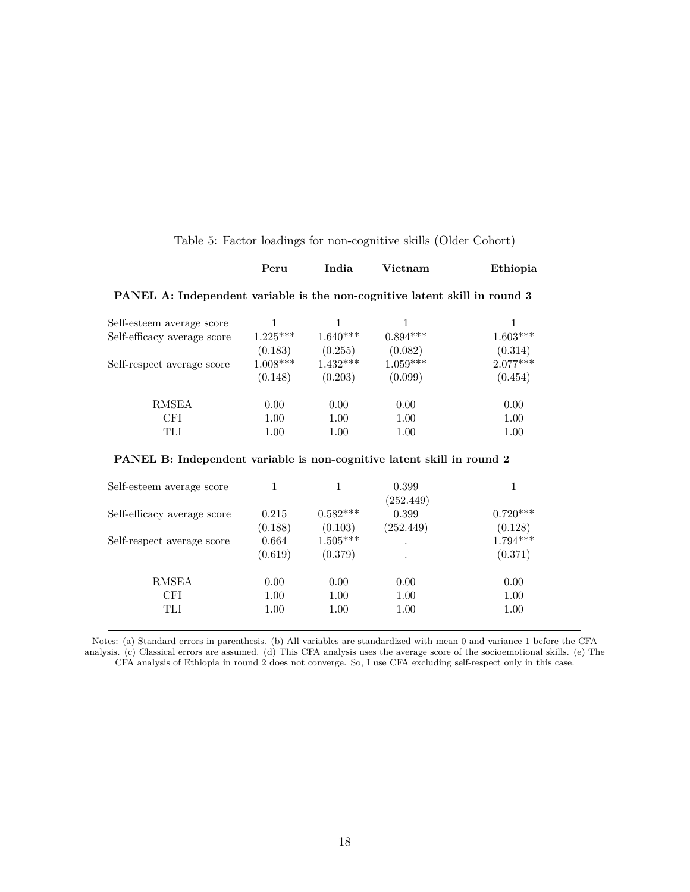<span id="page-17-0"></span>

|  | Table 5: Factor loadings for non-cognitive skills (Older Cohort) |
|--|------------------------------------------------------------------|
|  |                                                                  |

|                                                                            | Peru | India | <b>Vietnam</b> | Ethiopia |
|----------------------------------------------------------------------------|------|-------|----------------|----------|
| PANEL A: Independent variable is the non-cognitive latent skill in round 3 |      |       |                |          |

| $1.603***$ |
|------------|
| (0.314)    |
| $2.077***$ |
| (0.454)    |
| 0.00       |
| 1.00       |
| 1.00       |
|            |

#### **PANEL B: Independent variable is non-cognitive latent skill in round 2**

| Self-esteem average score   |         |            | 0.399<br>(252.449) | 1          |
|-----------------------------|---------|------------|--------------------|------------|
| Self-efficacy average score | 0.215   | $0.582***$ | 0.399              | $0.720***$ |
|                             | (0.188) | (0.103)    | (252.449)          | (0.128)    |
| Self-respect average score  | 0.664   | $1.505***$ | $\cdot$            | $1.794***$ |
|                             | (0.619) | (0.379)    | $\cdot$            | (0.371)    |
| <b>RMSEA</b>                | 0.00    | 0.00       | 0.00               | 0.00       |
| <b>CFI</b>                  | 1.00    | 1.00       | 1.00               | 1.00       |
| TLI                         | 1.00    | 1.00       | 1.00               | 1.00       |

Notes: (a) Standard errors in parenthesis. (b) All variables are standardized with mean 0 and variance 1 before the CFA analysis. (c) Classical errors are assumed. (d) This CFA analysis uses the average score of the socioemotional skills. (e) The CFA analysis of Ethiopia in round 2 does not converge. So, I use CFA excluding self-respect only in this case.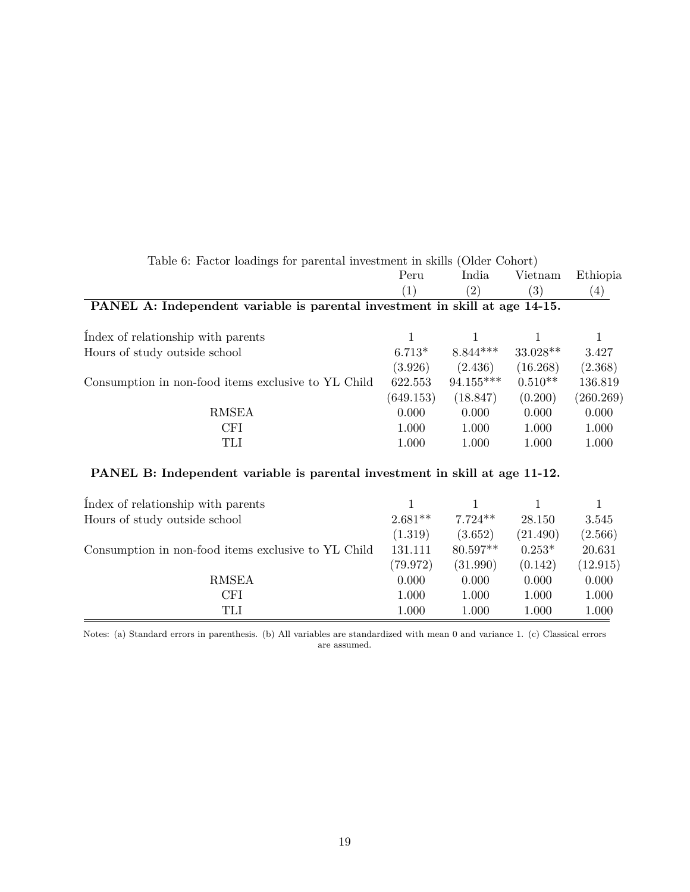<span id="page-18-0"></span>

| Table 6: Factor loadings for parental investment in skills (Older Cohort)   |           |                          |            |           |
|-----------------------------------------------------------------------------|-----------|--------------------------|------------|-----------|
|                                                                             | Peru      | India                    | Vietnam    | Ethiopia  |
|                                                                             | (1)       | (2)                      | (3)        | (4)       |
| PANEL A: Independent variable is parental investment in skill at age 14-15. |           |                          |            |           |
| Index of relationship with parents                                          |           | 1                        | 1          | 1         |
| Hours of study outside school                                               | $6.713*$  | $8.844***$               | $33.028**$ | 3.427     |
|                                                                             | (3.926)   | $(2.436)$ $(16.268)$     |            | (2.368)   |
| Consumption in non-food items exclusive to YL Child                         | 622.553   | $94.155***$              | $0.510**$  | 136.819   |
|                                                                             | (649.153) | (18.847)                 | (0.200)    | (260.269) |
| <b>RMSEA</b>                                                                | 0.000     | 0.000                    | 0.000      | 0.000     |
| <b>CFI</b>                                                                  | 1.000     | 1.000                    | 1.000      | 1.000     |
| TLI                                                                         | 1.000     | 1.000                    | 1.000      | 1.000     |
| PANEL B: Independent variable is parental investment in skill at age 11-12. |           |                          |            |           |
| Index of relationship with parents                                          |           |                          |            |           |
| Hours of study outside school                                               |           | $2.681**$ 7.724** 28.150 |            | 3.545     |

| HOUTS OF SUIDY OUTSIDE SCHOOL                       | 2.081 T  | 1.124      | 28.190   | .040      |
|-----------------------------------------------------|----------|------------|----------|-----------|
|                                                     | (1.319)  | (3.652)    | (21.490) | (2.566)   |
| Consumption in non-food items exclusive to YL Child | 131.111  | $80.597**$ | $0.253*$ | 20.631    |
|                                                     | (79.972) | (31.990)   | (0.142)  | (12.915)  |
| <b>RMSEA</b>                                        | 0.000    | 0.000      | 0.000    | 0.000     |
| CFI                                                 | 1.000    | 1.000      | 1.000    | $1.000\,$ |
| $\operatorname{TLI}$                                | 1.000    | 1.000      | 1.000    | $1.000\,$ |

Notes: (a) Standard errors in parenthesis. (b) All variables are standardized with mean 0 and variance 1. (c) Classical errors are assumed.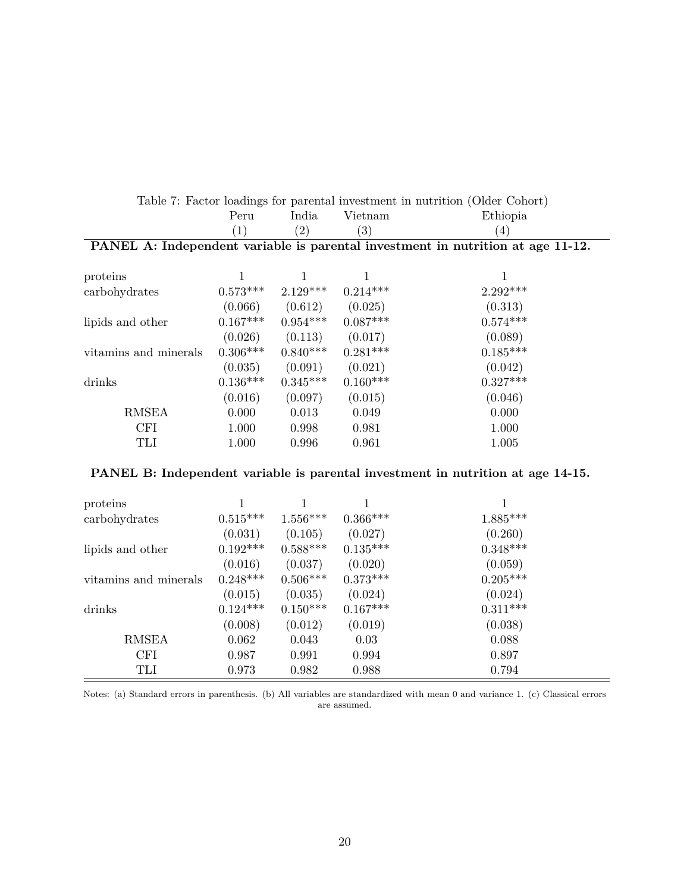|                       | Peru             | India               | Vietnam             | Ethiopia                                                                        |
|-----------------------|------------------|---------------------|---------------------|---------------------------------------------------------------------------------|
|                       | $\left(1\right)$ | $\left( 2\right)$   | $\left( 3\right)$   | $\left(4\right)$                                                                |
|                       |                  |                     |                     | PANEL A: Independent variable is parental investment in nutrition at age 11-12. |
|                       |                  |                     |                     |                                                                                 |
| proteins              |                  |                     |                     | 1                                                                               |
| carbohydrates         | $0.573***$       | $2.129***$          | $0.214***$          | $2.292***$                                                                      |
|                       | (0.066)          |                     | $(0.612)$ $(0.025)$ | (0.313)                                                                         |
| lipids and other      | $0.167***$       | $0.954***$          | $0.087***$          | $0.574***$                                                                      |
|                       | (0.026)          | $(0.113)$ $(0.017)$ |                     | (0.089)                                                                         |
| vitaming and minerals | $0.306***$       | $0.840***$          | $0.281***$          | $0.185***$                                                                      |
|                       | (0.035)          | (0.091)             | (0.021)             | (0.042)                                                                         |
| drinks                | $0.136***$       | $0.345***$          | $0.160***$          | $0.327***$                                                                      |
|                       | (0.016)          | (0.097)             | (0.015)             | (0.046)                                                                         |
| <b>RMSEA</b>          | 0.000            | 0.013               | 0.049               | 0.000                                                                           |
| <b>CFI</b>            | 1.000            | 0.998               | 0.981               | 1.000                                                                           |
| TLI                   | 1.000            | 0.996               | 0.961               | 1.005                                                                           |

# <span id="page-19-0"></span>Table 7: Factor loadings for parental investment in nutrition (Older Cohort)

#### **PANEL B: Independent variable is parental investment in nutrition at age 14-15.**

| proteins              |            |            |            |            |
|-----------------------|------------|------------|------------|------------|
| carbohydrates         | $0.515***$ | $1.556***$ | $0.366***$ | $1.885***$ |
|                       | (0.031)    | (0.105)    | (0.027)    | (0.260)    |
| lipids and other      | $0.192***$ | $0.588***$ | $0.135***$ | $0.348***$ |
|                       | (0.016)    | (0.037)    | (0.020)    | (0.059)    |
| vitamins and minerals | $0.248***$ | $0.506***$ | $0.373***$ | $0.205***$ |
|                       | (0.015)    | (0.035)    | (0.024)    | (0.024)    |
| drinks                | $0.124***$ | $0.150***$ | $0.167***$ | $0.311***$ |
|                       | (0.008)    | (0.012)    | (0.019)    | (0.038)    |
| <b>RMSEA</b>          | 0.062      | 0.043      | 0.03       | 0.088      |
| <b>CFI</b>            | 0.987      | 0.991      | 0.994      | 0.897      |
| TLI                   | 0.973      | 0.982      | 0.988      | 0.794      |

Notes: (a) Standard errors in parenthesis. (b) All variables are standardized with mean 0 and variance 1. (c) Classical errors are assumed.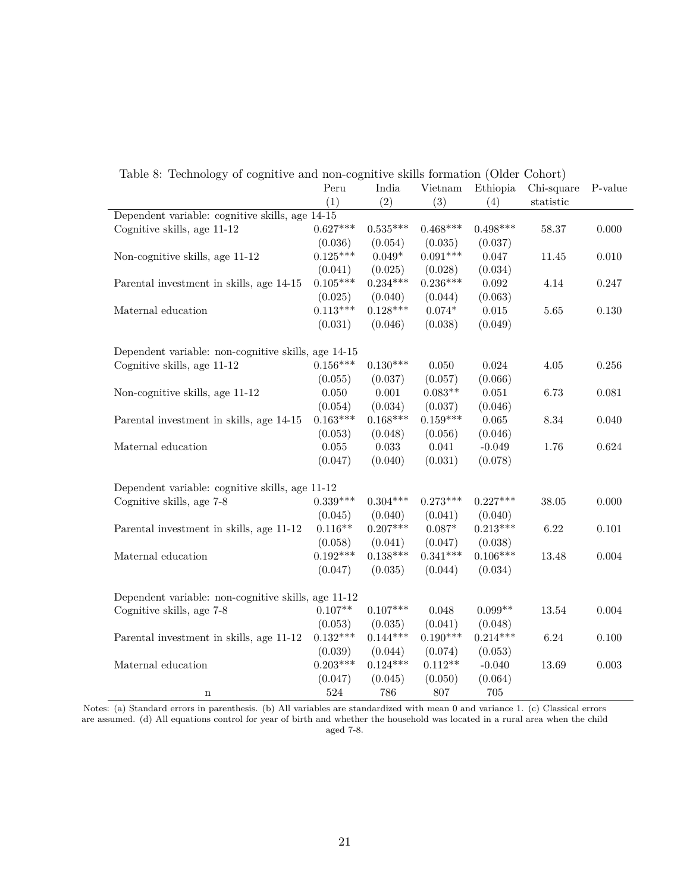|                                                     | Peru       | India      | Vietnam    | Ethiopia    | Chi-square | P-value   |
|-----------------------------------------------------|------------|------------|------------|-------------|------------|-----------|
|                                                     | (1)        | (2)        | (3)        | (4)         | statistic  |           |
| Dependent variable: cognitive skills, age 14-15     |            |            |            |             |            |           |
| Cognitive skills, age 11-12                         | $0.627***$ | $0.535***$ | $0.468***$ | $0.498***$  | 58.37      | 0.000     |
|                                                     | (0.036)    | (0.054)    | (0.035)    | (0.037)     |            |           |
| Non-cognitive skills, age 11-12                     | $0.125***$ | $0.049*$   | $0.091***$ | 0.047       | 11.45      | 0.010     |
|                                                     | (0.041)    | (0.025)    | (0.028)    | (0.034)     |            |           |
| Parental investment in skills, age 14-15            | $0.105***$ | $0.234***$ | $0.236***$ | $\,0.092\,$ | 4.14       | 0.247     |
|                                                     | (0.025)    | (0.040)    | (0.044)    | (0.063)     |            |           |
| Maternal education                                  | $0.113***$ | $0.128***$ | $0.074*$   | 0.015       | 5.65       | 0.130     |
|                                                     | (0.031)    | (0.046)    | (0.038)    | (0.049)     |            |           |
|                                                     |            |            |            |             |            |           |
| Dependent variable: non-cognitive skills, age 14-15 |            |            |            |             |            |           |
| Cognitive skills, age 11-12                         | $0.156***$ | $0.130***$ | 0.050      | 0.024       | 4.05       | 0.256     |
|                                                     | (0.055)    | (0.037)    | (0.057)    | (0.066)     |            |           |
| Non-cognitive skills, age 11-12                     | 0.050      | 0.001      | $0.083**$  | $0.051\,$   | 6.73       | 0.081     |
|                                                     | (0.054)    | (0.034)    | (0.037)    | (0.046)     |            |           |
| Parental investment in skills, age 14-15            | $0.163***$ | $0.168***$ | $0.159***$ | $\,0.065\,$ | 8.34       | 0.040     |
|                                                     | (0.053)    | (0.048)    | (0.056)    | (0.046)     |            |           |
| Maternal education                                  | 0.055      | 0.033      | 0.041      | $-0.049$    | 1.76       | 0.624     |
|                                                     | (0.047)    | (0.040)    | (0.031)    | (0.078)     |            |           |
| Dependent variable: cognitive skills, age 11-12     |            |            |            |             |            |           |
| Cognitive skills, age 7-8                           | $0.339***$ | $0.304***$ | $0.273***$ | $0.227***$  | 38.05      | 0.000     |
|                                                     | (0.045)    | (0.040)    | (0.041)    | (0.040)     |            |           |
| Parental investment in skills, age 11-12            | $0.116**$  | $0.207***$ | $0.087*$   | $0.213***$  | 6.22       | $0.101\,$ |
|                                                     | (0.058)    | (0.041)    | (0.047)    | (0.038)     |            |           |
| Maternal education                                  | $0.192***$ | $0.138***$ | $0.341***$ | $0.106***$  | $13.48\,$  | 0.004     |
|                                                     | (0.047)    | (0.035)    | (0.044)    | (0.034)     |            |           |
|                                                     |            |            |            |             |            |           |
| Dependent variable: non-cognitive skills, age 11-12 |            |            |            |             |            |           |
| Cognitive skills, age 7-8                           | $0.107**$  | $0.107***$ | 0.048      | $0.099**$   | 13.54      | 0.004     |
|                                                     | (0.053)    | (0.035)    | (0.041)    | (0.048)     |            |           |
| Parental investment in skills, age 11-12            | $0.132***$ | $0.144***$ | $0.190***$ | $0.214***$  | 6.24       | 0.100     |
|                                                     | (0.039)    | (0.044)    | (0.074)    | (0.053)     |            |           |
| Maternal education                                  | $0.203***$ | $0.124***$ | $0.112**$  | $-0.040$    | 13.69      | 0.003     |
|                                                     | (0.047)    | (0.045)    | (0.050)    | (0.064)     |            |           |
| $\mathbf n$                                         | 524        | 786        | 807        | 705         |            |           |

<span id="page-20-0"></span>Table 8: Technology of cognitive and non-cognitive skills formation (Older Cohort)

Notes: (a) Standard errors in parenthesis. (b) All variables are standardized with mean 0 and variance 1. (c) Classical errors are assumed. (d) All equations control for year of birth and whether the household was located in a rural area when the child aged 7-8.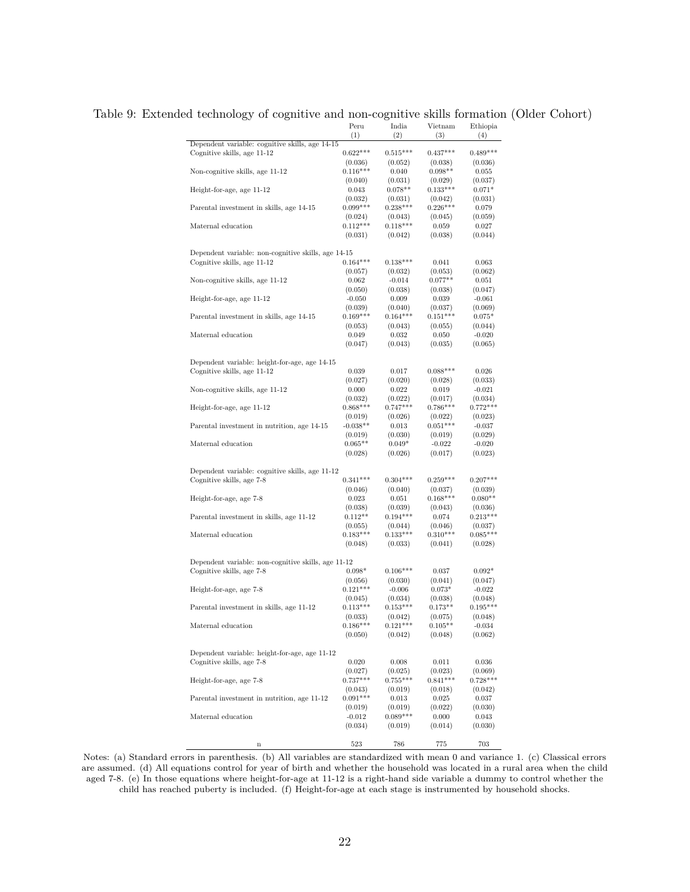<span id="page-21-0"></span>

|                                                     | Peru           | India      | Vietnam    | Ethiopia   |
|-----------------------------------------------------|----------------|------------|------------|------------|
|                                                     | (1)            | (2)        | (3)        | (4)        |
| Dependent variable: cognitive skills, age 14-15     |                |            |            |            |
| Cognitive skills, age 11-12                         | $0.622***$     | $0.515***$ | $0.437***$ | $0.489***$ |
|                                                     | (0.036)        | (0.052)    | (0.038)    | (0.036)    |
| Non-cognitive skills, age 11-12                     | $0.116***$     | 0.040      | $0.098**$  | 0.055      |
|                                                     | (0.040)        | (0.031)    | (0.029)    | (0.037)    |
| Height-for-age, age 11-12                           | 0.043          | $0.078**$  | $0.133***$ | $0.071*$   |
|                                                     | (0.032)        | (0.031)    | (0.042)    | (0.031)    |
| Parental investment in skills, age 14-15            | $0.099***$     | $0.238***$ | $0.226***$ | 0.079      |
|                                                     |                |            |            |            |
|                                                     | (0.024)        | (0.043)    | (0.045)    | (0.059)    |
| Maternal education                                  | $0.112***$     | $0.118***$ | 0.059      | 0.027      |
|                                                     | (0.031)        | (0.042)    | (0.038)    | (0.044)    |
|                                                     |                |            |            |            |
| Dependent variable: non-cognitive skills, age 14-15 |                |            |            |            |
| Cognitive skills, age 11-12                         | $0.164***$     | $0.138***$ | 0.041      | 0.063      |
|                                                     | (0.057)        | (0.032)    | (0.053)    | (0.062)    |
| Non-cognitive skills, age 11-12                     | 0.062          | $-0.014$   | $0.077**$  | 0.051      |
|                                                     | (0.050)        | (0.038)    | (0.038)    | (0.047)    |
| Height-for-age, age 11-12                           | $-0.050$       | 0.009      | 0.039      | $-0.061$   |
|                                                     | (0.039)        | (0.040)    | (0.037)    | (0.069)    |
| Parental investment in skills, age 14-15            | $0.169***$     | $0.164***$ | $0.151***$ | $0.075*$   |
|                                                     | (0.053)        | (0.043)    | (0.055)    | (0.044)    |
| Maternal education                                  | 0.049          | 0.032      | 0.050      | $-0.020$   |
|                                                     | (0.047)        | (0.043)    | (0.035)    | (0.065)    |
|                                                     |                |            |            |            |
| Dependent variable: height-for-age, age 14-15       |                |            |            |            |
| Cognitive skills, age 11-12                         | 0.039          | 0.017      | $0.088***$ | 0.026      |
|                                                     |                | (0.020)    | (0.028)    | (0.033)    |
|                                                     | (0.027)        |            | 0.019      |            |
| Non-cognitive skills, age 11-12                     | 0.000          | 0.022      |            | $-0.021$   |
|                                                     | (0.032)        | (0.022)    | (0.017)    | (0.034)    |
| Height-for-age, age 11-12                           | $0.868***$     | $0.747***$ | $0.786***$ | $0.772***$ |
|                                                     | (0.019)        | (0.026)    | (0.022)    | (0.023)    |
| Parental investment in nutrition, age 14-15         | $-0.038**$     | 0.013      | $0.051***$ | $-0.037$   |
|                                                     | (0.019)        | (0.030)    | (0.019)    | (0.029)    |
| Maternal education                                  | $0.065**$      | $0.049*$   | $-0.022$   | $-0.020$   |
|                                                     | (0.028)        | (0.026)    | (0.017)    | (0.023)    |
|                                                     |                |            |            |            |
| Dependent variable: cognitive skills, age 11-12     |                |            |            |            |
| Cognitive skills, age 7-8                           | $0.341***$     | $0.304***$ | $0.259***$ | $0.207***$ |
|                                                     | (0.046)        | (0.040)    | (0.037)    | (0.039)    |
| Height-for-age, age 7-8                             | 0.023          | 0.051      | $0.168***$ | $0.080**$  |
|                                                     | (0.038)        | (0.039)    | (0.043)    | (0.036)    |
| Parental investment in skills, age 11-12            | $0.112**$      | $0.194***$ | 0.074      | $0.213***$ |
|                                                     | (0.055)        | (0.044)    | (0.046)    | (0.037)    |
| Maternal education                                  | $0.183***$     | $0.133***$ | $0.310***$ | $0.085***$ |
|                                                     | (0.048)        | (0.033)    | (0.041)    | (0.028)    |
|                                                     |                |            |            |            |
| Dependent variable: non-cognitive skills, age 11-12 |                |            |            |            |
| Cognitive skills, age 7-8                           | $0.098^{\ast}$ | $0.106***$ | 0.037      | $0.092*$   |
|                                                     | (0.056)        | (0.030)    | (0.041)    | (0.047)    |
| Height-for-age, age 7-8                             | $0.121***$     | $-0.006$   | $0.073*$   | $-0.022$   |
|                                                     |                |            |            |            |
|                                                     | (0.045)        | (0.034)    | (0.038)    | (0.048)    |
| Parental investment in skills, age 11-12            | $0.113***$     | $0.153***$ | $0.173**$  | $0.195***$ |
|                                                     | (0.033)        | (0.042)    | (0.075)    | (0.048)    |
| Maternal education                                  | $0.186***$     | $0.121***$ | $0.105**$  | $-0.034$   |
|                                                     | (0.050)        | (0.042)    | (0.048)    | (0.062)    |
|                                                     |                |            |            |            |
| Dependent variable: height-for-age, age 11-12       |                |            |            |            |
| Cognitive skills, age 7-8                           | 0.020          | 0.008      | 0.011      | 0.036      |
|                                                     | (0.027)        | (0.025)    | (0.023)    | (0.069)    |
| Height-for-age, age 7-8                             | $0.737***$     | $0.755***$ | $0.841***$ | $0.728***$ |
|                                                     | (0.043)        | (0.019)    | (0.018)    | (0.042)    |
| Parental investment in nutrition, age 11-12         | $0.091***$     | 0.013      | 0.025      | 0.037      |
|                                                     | (0.019)        | (0.019)    | (0.022)    | (0.030)    |
| Maternal education                                  | $-0.012$       | $0.089***$ | 0.000      | 0.043      |
|                                                     | (0.034)        | (0.019)    | (0.014)    | (0.030)    |
|                                                     |                |            |            |            |
| $\mathbf n$                                         | 523            | 786        | 775        | 703        |
|                                                     |                |            |            |            |

#### Table 9: Extended technology of cognitive and non-cognitive skills formation (Older Cohort)

Notes: (a) Standard errors in parenthesis. (b) All variables are standardized with mean 0 and variance 1. (c) Classical errors are assumed. (d) All equations control for year of birth and whether the household was located in a rural area when the child aged 7-8. (e) In those equations where height-for-age at 11-12 is a right-hand side variable a dummy to control whether the child has reached puberty is included. (f) Height-for-age at each stage is instrumented by household shocks.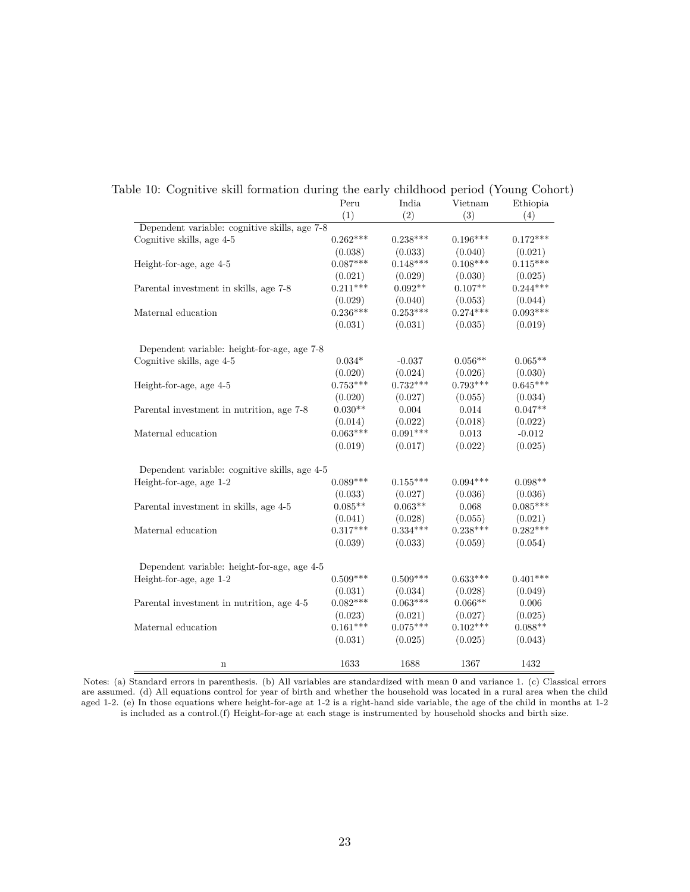<span id="page-22-0"></span>

|                                               | Peru       | India      | Vietnam    | Ethiopia   |
|-----------------------------------------------|------------|------------|------------|------------|
|                                               | (1)        | (2)        | (3)        | (4)        |
| Dependent variable: cognitive skills, age 7-8 |            |            |            |            |
| Cognitive skills, age 4-5                     | $0.262***$ | $0.238***$ | $0.196***$ | $0.172***$ |
|                                               | (0.038)    | (0.033)    | (0.040)    | (0.021)    |
| Height-for-age, age 4-5                       | $0.087***$ | $0.148***$ | $0.108***$ | $0.115***$ |
|                                               | (0.021)    | (0.029)    | (0.030)    | (0.025)    |
| Parental investment in skills, age 7-8        | $0.211***$ | $0.092**$  | $0.107**$  | $0.244***$ |
|                                               | (0.029)    | (0.040)    | (0.053)    | (0.044)    |
| Maternal education                            | $0.236***$ | $0.253***$ | $0.274***$ | $0.093***$ |
|                                               | (0.031)    | (0.031)    | (0.035)    | (0.019)    |
| Dependent variable: height-for-age, age 7-8   |            |            |            |            |
| Cognitive skills, age 4-5                     | $0.034*$   | $-0.037$   | $0.056**$  | $0.065**$  |
|                                               | (0.020)    | (0.024)    | (0.026)    | (0.030)    |
| Height-for-age, age 4-5                       | $0.753***$ | $0.732***$ | $0.793***$ | $0.645***$ |
|                                               | (0.020)    | (0.027)    | (0.055)    | (0.034)    |
| Parental investment in nutrition, age 7-8     | $0.030**$  | 0.004      | 0.014      | $0.047**$  |
|                                               | (0.014)    | (0.022)    | (0.018)    | (0.022)    |
| Maternal education                            | $0.063***$ | $0.091***$ | 0.013      | $-0.012$   |
|                                               | (0.019)    | (0.017)    | (0.022)    | (0.025)    |
| Dependent variable: cognitive skills, age 4-5 |            |            |            |            |
| Height-for-age, age 1-2                       | $0.089***$ | $0.155***$ | $0.094***$ | $0.098**$  |
|                                               | (0.033)    | (0.027)    | (0.036)    | (0.036)    |
| Parental investment in skills, age 4-5        | $0.085**$  | $0.063**$  | 0.068      | $0.085***$ |
|                                               | (0.041)    | (0.028)    | (0.055)    | (0.021)    |
| Maternal education                            | $0.317***$ | $0.334***$ | $0.238***$ | $0.282***$ |
|                                               | (0.039)    | (0.033)    | (0.059)    | (0.054)    |
| Dependent variable: height-for-age, age 4-5   |            |            |            |            |
| Height-for-age, age 1-2                       | $0.509***$ | $0.509***$ | $0.633***$ | $0.401***$ |
|                                               | (0.031)    | (0.034)    | (0.028)    | (0.049)    |
| Parental investment in nutrition, age 4-5     | $0.082***$ | $0.063***$ | $0.066**$  | 0.006      |
|                                               | (0.023)    | (0.021)    | (0.027)    | (0.025)    |
| Maternal education                            | $0.161***$ | $0.075***$ | $0.102***$ | $0.088**$  |
|                                               | (0.031)    | (0.025)    | (0.025)    | (0.043)    |
| $\mathbf n$                                   | 1633       | 1688       | 1367       | 1432       |

Table 10: Cognitive skill formation during the early childhood period (Young Cohort) Peru India Vietnam Ethiopia

Notes: (a) Standard errors in parenthesis. (b) All variables are standardized with mean 0 and variance 1. (c) Classical errors are assumed. (d) All equations control for year of birth and whether the household was located in a rural area when the child aged 1-2. (e) In those equations where height-for-age at 1-2 is a right-hand side variable, the age of the child in months at 1-2 is included as a control.(f) Height-for-age at each stage is instrumented by household shocks and birth size.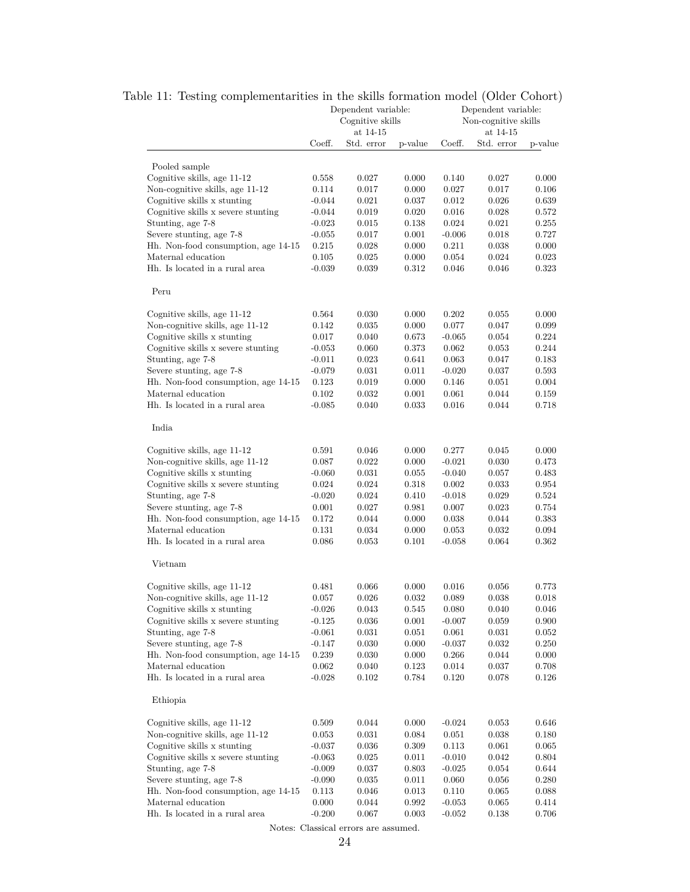<span id="page-23-0"></span>

|                                                                 | Dependent variable:<br>Cognitive skills |                        |                      | Dependent variable:<br>Non-cognitive skills |                        |                |
|-----------------------------------------------------------------|-----------------------------------------|------------------------|----------------------|---------------------------------------------|------------------------|----------------|
|                                                                 | Coeff.                                  | at 14-15<br>Std. error | p-value              | Coeff.                                      | at 14-15<br>Std. error | p-value        |
|                                                                 |                                         |                        |                      |                                             |                        |                |
| Pooled sample                                                   |                                         |                        |                      |                                             |                        |                |
| Cognitive skills, age 11-12                                     | 0.558                                   | 0.027                  | 0.000                | 0.140                                       | 0.027                  | 0.000          |
| Non-cognitive skills, age 11-12<br>Cognitive skills x stunting  | 0.114<br>$-0.044$                       | 0.017<br>0.021         | 0.000                | 0.027<br>0.012                              | 0.017<br>0.026         | 0.106<br>0.639 |
| Cognitive skills x severe stunting                              | $-0.044$                                | 0.019                  | $\rm 0.037$<br>0.020 | 0.016                                       | 0.028                  | 0.572          |
| Stunting, age 7-8                                               | $-0.023$                                | 0.015                  | 0.138                | 0.024                                       | 0.021                  | 0.255          |
| Severe stunting, age 7-8                                        | $-0.055$                                | 0.017                  | 0.001                | $-0.006$                                    | 0.018                  | 0.727          |
| Hh. Non-food consumption, age 14-15                             | 0.215                                   | 0.028                  | 0.000                | 0.211                                       | 0.038                  | 0.000          |
| Maternal education                                              | 0.105                                   | 0.025                  | 0.000                | 0.054                                       | 0.024                  | 0.023          |
| Hh. Is located in a rural area                                  | $-0.039$                                | 0.039                  | 0.312                | 0.046                                       | 0.046                  | 0.323          |
| Peru                                                            |                                         |                        |                      |                                             |                        |                |
|                                                                 |                                         |                        |                      |                                             |                        |                |
| Cognitive skills, age 11-12                                     | 0.564                                   | 0.030                  | 0.000                | 0.202                                       | 0.055                  | 0.000          |
| Non-cognitive skills, age 11-12                                 | 0.142                                   | 0.035                  | 0.000                | 0.077                                       | 0.047                  | 0.099          |
| Cognitive skills x stunting                                     | 0.017                                   | 0.040                  | 0.673                | $-0.065$                                    | 0.054                  | 0.224          |
| Cognitive skills x severe stunting                              | $-0.053$                                | 0.060                  | 0.373                | 0.062                                       | $_{0.053}$             | 0.244          |
| Stunting, age 7-8                                               | $-0.011$                                | 0.023                  | 0.641                | 0.063                                       | 0.047                  | 0.183          |
| Severe stunting, age 7-8                                        | $-0.079$                                | 0.031                  | 0.011                | $-0.020$                                    | 0.037                  | 0.593          |
| Hh. Non-food consumption, age 14-15                             | 0.123                                   | 0.019                  | 0.000                | 0.146                                       | 0.051                  | 0.004          |
| Maternal education                                              | 0.102                                   | 0.032                  | 0.001                | 0.061                                       | 0.044                  | 0.159          |
| Hh. Is located in a rural area                                  | $-0.085$                                | 0.040                  | 0.033                | 0.016                                       | 0.044                  | 0.718          |
| India                                                           |                                         |                        |                      |                                             |                        |                |
| Cognitive skills, age 11-12                                     | 0.591                                   | 0.046                  | 0.000                | 0.277                                       | 0.045                  | 0.000          |
| Non-cognitive skills, age 11-12                                 | 0.087                                   | 0.022                  | 0.000                | $-0.021$                                    | 0.030                  | 0.473          |
| Cognitive skills x stunting                                     | $-0.060$                                | 0.031                  | 0.055                | $-0.040$                                    | $_{0.057}$             | 0.483          |
| Cognitive skills x severe stunting                              | 0.024                                   | 0.024                  | 0.318                | 0.002                                       | $_{0.033}$             | 0.954          |
| Stunting, age 7-8                                               | $-0.020$                                | 0.024                  | 0.410                | $-0.018$                                    | 0.029                  | 0.524          |
| Severe stunting, age 7-8                                        | 0.001                                   | 0.027                  | 0.981                | 0.007                                       | 0.023                  | 0.754          |
| Hh. Non-food consumption, age 14-15                             | 0.172                                   | 0.044                  | 0.000                | 0.038                                       | 0.044                  | 0.383          |
| Maternal education                                              | 0.131                                   | 0.034                  | 0.000                | 0.053                                       | 0.032                  | 0.094          |
| Hh. Is located in a rural area                                  | 0.086                                   | 0.053                  | 0.101                | $-0.058$                                    | 0.064                  | 0.362          |
| Vietnam                                                         |                                         |                        |                      |                                             |                        |                |
| Cognitive skills, age 11-12                                     | 0.481                                   | 0.066                  | 0.000                | 0.016                                       | 0.056                  | 0.773          |
| Non-cognitive skills, age 11-12                                 | 0.057                                   | 0.026                  | 0.032                | 0.089                                       | 0.038                  | 0.018          |
| Cognitive skills x stunting                                     | $-0.026$                                | $\,0.043\,$            | $\,0.545\,$          | 0.080                                       | 0.040                  | $0.046\,$      |
| Cognitive skills x severe stunting                              | $-0.125$                                | 0.036                  | 0.001                | $-0.007$                                    | 0.059                  | 0.900          |
| Stunting, age 7-8                                               | $-0.061$                                | 0.031                  | 0.051                | 0.061                                       | 0.031                  | 0.052          |
| Severe stunting, age 7-8                                        | $-0.147$                                | 0.030                  | 0.000                | $-0.037$                                    | 0.032                  | 0.250          |
| Hh. Non-food consumption, age 14-15                             | 0.239                                   | 0.030                  | 0.000                | $0.266\,$                                   | 0.044                  | 0.000          |
| Maternal education                                              | 0.062                                   | 0.040                  | 0.123                | 0.014                                       | 0.037                  | 0.708          |
| Hh. Is located in a rural area                                  | $-0.028$                                | 0.102                  | 0.784                | 0.120                                       | 0.078                  | 0.126          |
| Ethiopia                                                        |                                         |                        |                      |                                             |                        |                |
|                                                                 |                                         |                        |                      |                                             |                        |                |
| Cognitive skills, age 11-12                                     | 0.509                                   | 0.044                  | 0.000                | $-0.024$                                    | 0.053                  | 0.646          |
| Non-cognitive skills, age 11-12                                 | 0.053                                   | 0.031                  | 0.084                | 0.051                                       | 0.038                  | 0.180          |
| Cognitive skills x stunting                                     | $-0.037$                                | 0.036                  | 0.309                | 0.113                                       | 0.061                  | 0.065          |
| Cognitive skills x severe stunting                              | $-0.063$                                | 0.025                  | 0.011                | $-0.010$                                    | 0.042                  | 0.804          |
| Stunting, age 7-8                                               | $-0.009$                                | 0.037                  | 0.803                | $-0.025$                                    | 0.054                  | 0.644          |
| Severe stunting, age 7-8<br>Hh. Non-food consumption, age 14-15 | $-0.090$                                | 0.035<br>0.046         | 0.011<br>0.013       | 0.060<br>0.110                              | 0.056<br>0.065         | 0.280<br>0.088 |
| Maternal education                                              | 0.113<br>0.000                          | 0.044                  | 0.992                | $-0.053$                                    | 0.065                  | 0.414          |
| Hh. Is located in a rural area                                  | $-0.200$                                | 0.067                  | 0.003                | $-0.052$                                    | 0.138                  | 0.706          |
|                                                                 |                                         |                        |                      |                                             |                        |                |

# Table 11: Testing complementarities in the skills formation model (Older Cohort)

Notes: Classical errors are assumed.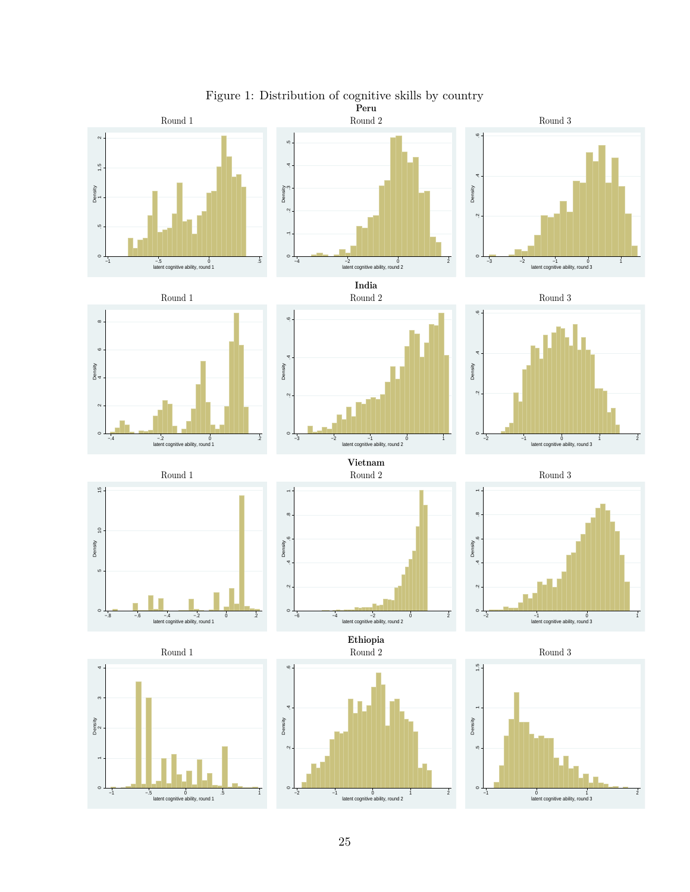

<span id="page-24-0"></span>Figure 1: Distribution of cognitive skills by country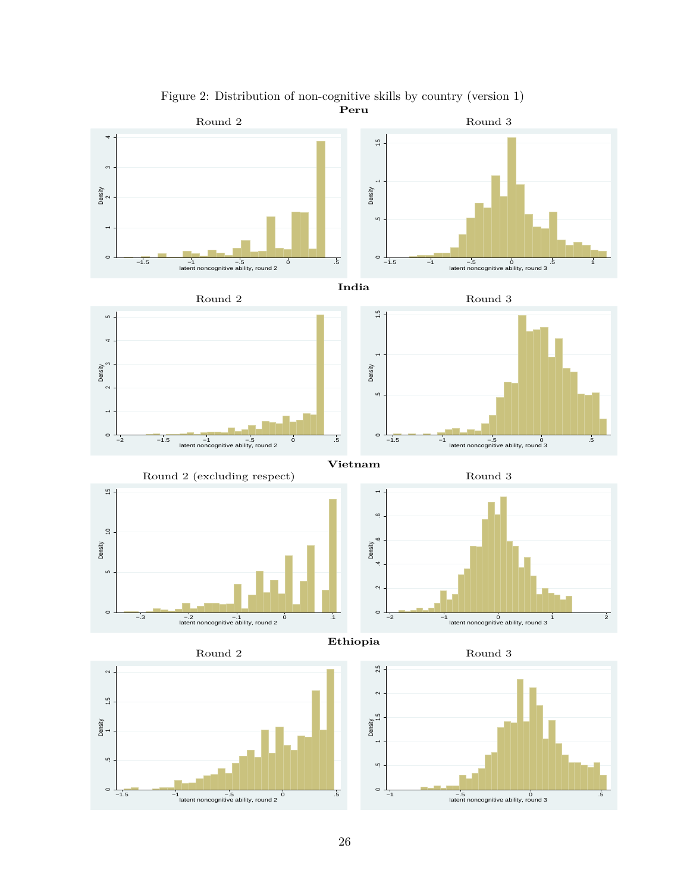

<span id="page-25-0"></span>Figure 2: Distribution of non-cognitive skills by country (version 1)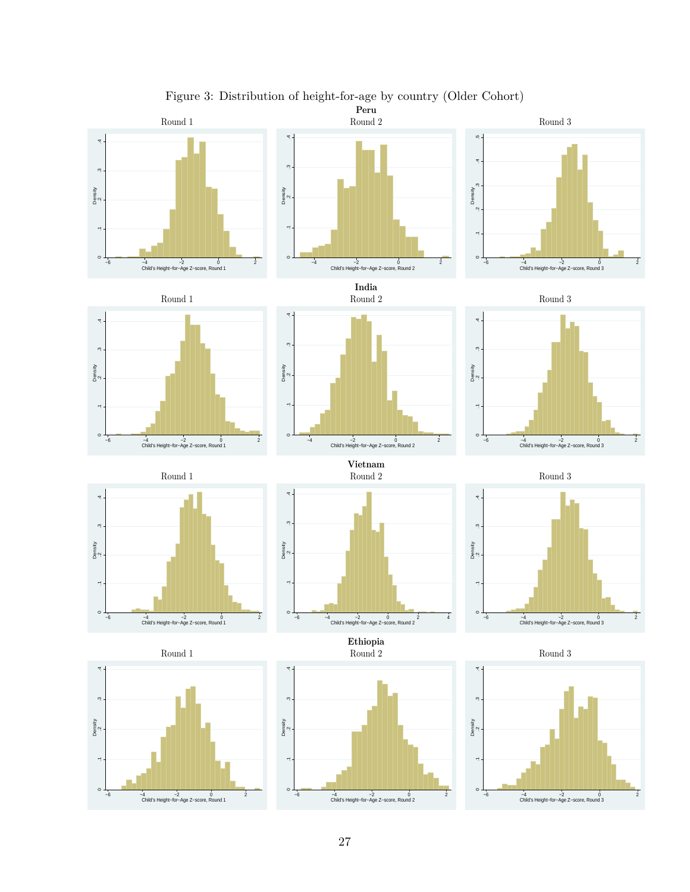

# Figure 3: Distribution of height-for-age by country (Older Cohort)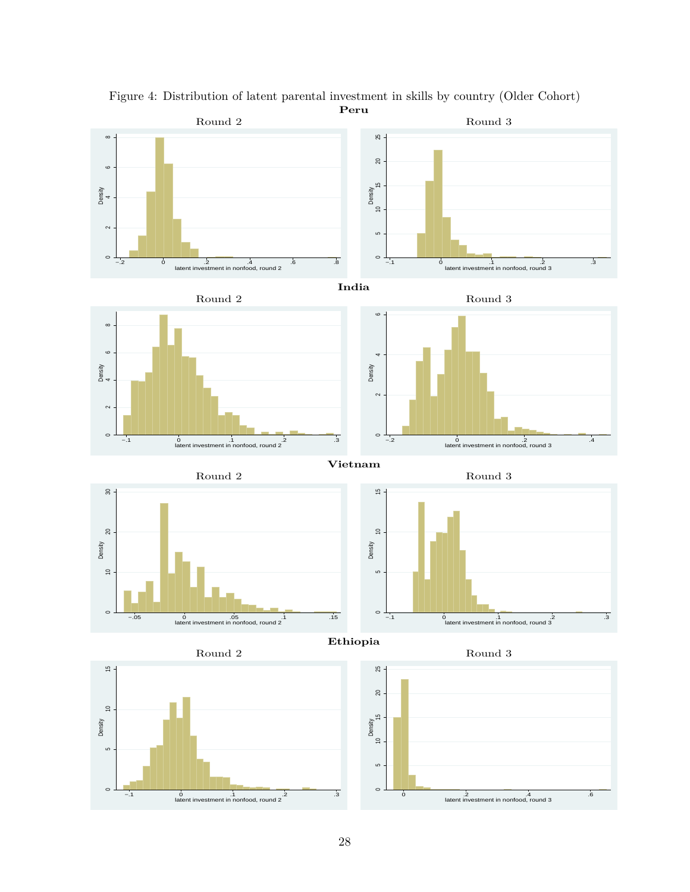

Figure 4: Distribution of latent parental investment in skills by country (Older Cohort)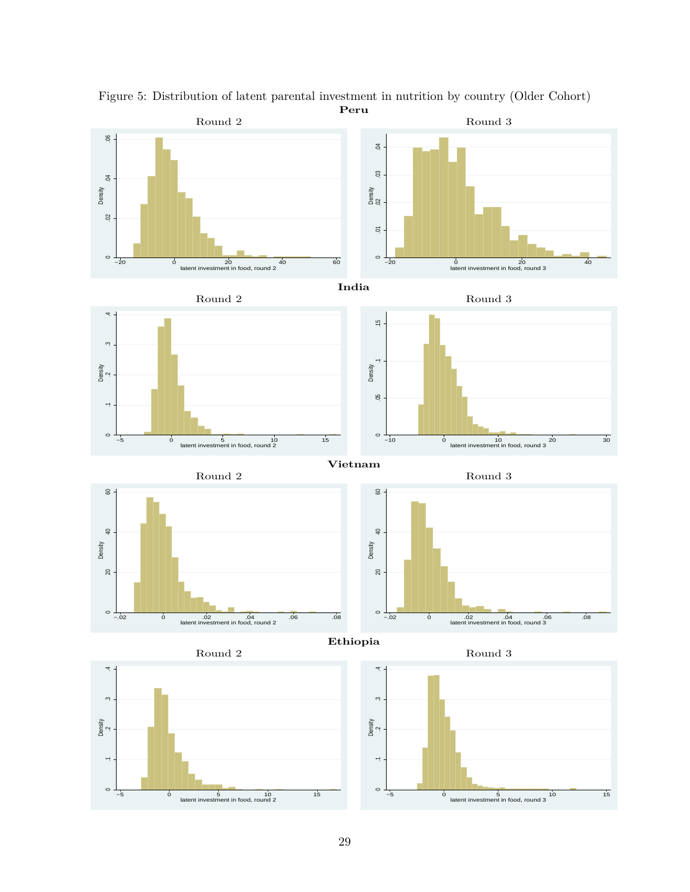

Figure 5: Distribution of latent parental investment in nutrition by country (Older Cohort)